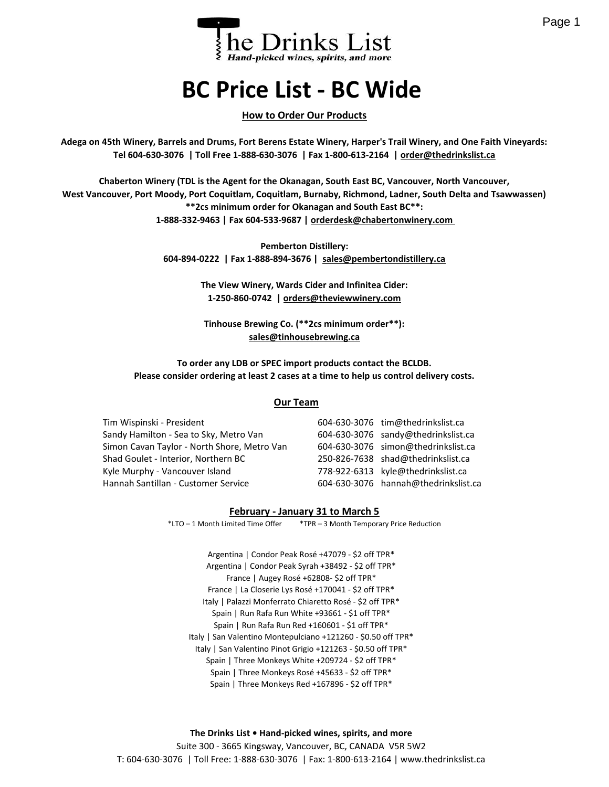

# **BC Price List - BC Wide**

#### **How to Order Our Products**

**Adega on 45th Winery, Barrels and Drums, Fort Berens Estate Winery, Harper's Trail Winery, and One Faith Vineyards: Tel 604-630-3076 | Toll Free 1-888-630-3076 | Fax 1-800-613-2164 | order@thedrinkslist.ca**

**Chaberton Winery (TDL is the Agent for the Okanagan, South East BC, Vancouver, North Vancouver, West Vancouver, Port Moody, Port Coquitlam, Coquitlam, Burnaby, Richmond, Ladner, South Delta and Tsawwassen) \*\*2cs minimum order for Okanagan and South East BC\*\*: 1-888-332-9463 | Fax 604-533-9687 | orderdesk@chabertonwinery.com** 

> **Pemberton Distillery: 604-894-0222 | Fax 1-888-894-3676 | sales@pembertondistillery.ca**

> > **The View Winery, Wards Cider and Infinitea Cider: 1-250-860-0742 | orders@theviewwinery.com**

**Tinhouse Brewing Co. (\*\*2cs minimum order\*\*): sales@tinhousebrewing.ca**

**To order any LDB or SPEC import products contact the BCLDB. Please consider ordering at least 2 cases at a time to help us control delivery costs.**

#### **Our Team**

Tim Wispinski - President Sandy Hamilton - Sea to Sky, Metro Van Simon Cavan Taylor - North Shore, Metro Van Shad Goulet - Interior, Northern BC Kyle Murphy - Vancouver Island Hannah Santillan - Customer Service

| 604-630-3076 tim@thedrinkslist.ca    |
|--------------------------------------|
| 604-630-3076 sandy@thedrinkslist.ca  |
| 604-630-3076 simon@thedrinkslist.ca  |
| 250-826-7638 shad@thedrinkslist.ca   |
| 778-922-6313 kyle@thedrinkslist.ca   |
| 604-630-3076 hannah@thedrinkslist.ca |

#### **February - January 31 to March 5**

\*LTO – 1 Month Limited Time Offer \*TPR – 3 Month Temporary Price Reduction

Argentina | Condor Peak Rosé +47079 - \$2 off TPR\* Argentina | Condor Peak Syrah +38492 - \$2 off TPR\* France | Augey Rosé +62808- \$2 off TPR\* France | La Closerie Lys Rosé +170041 - \$2 off TPR\* Italy | Palazzi Monferrato Chiaretto Rosé - \$2 off TPR\* Spain | Run Rafa Run White +93661 - \$1 off TPR\* Spain | Run Rafa Run Red +160601 - \$1 off TPR\* Italy | San Valentino Montepulciano +121260 - \$0.50 off TPR\* Italy | San Valentino Pinot Grigio +121263 - \$0.50 off TPR\* Spain | Three Monkeys White +209724 - \$2 off TPR\* Spain | Three Monkeys Rosé +45633 - \$2 off TPR\* Spain | Three Monkeys Red +167896 - \$2 off TPR\*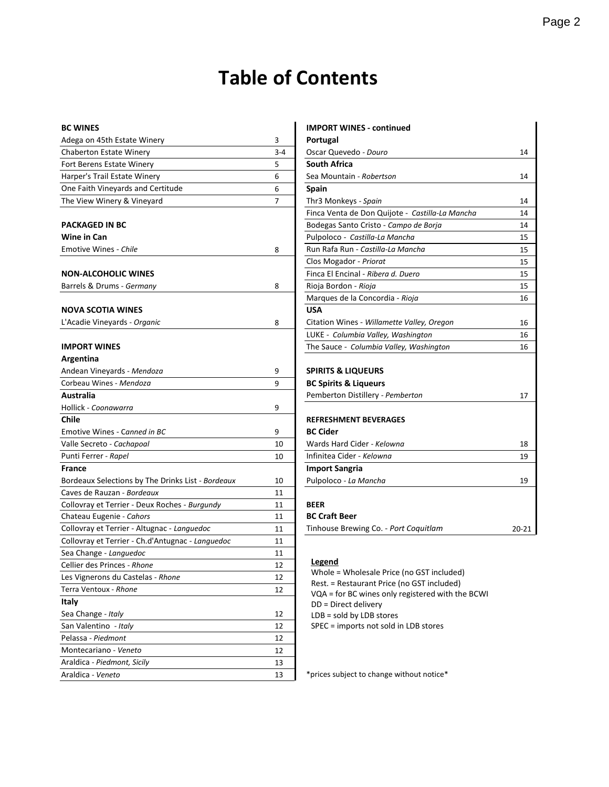## **Table of Contents**

| Adega on 45th Estate Winery                       | 3       | Portugal                                                                                       |       |
|---------------------------------------------------|---------|------------------------------------------------------------------------------------------------|-------|
| <b>Chaberton Estate Winery</b>                    | $3 - 4$ | Oscar Quevedo - Douro                                                                          | 14    |
| Fort Berens Estate Winery                         | 5       | <b>South Africa</b>                                                                            |       |
| Harper's Trail Estate Winery                      | 6       | Sea Mountain - Robertson                                                                       | 14    |
| One Faith Vineyards and Certitude                 | 6       | <b>Spain</b>                                                                                   |       |
| The View Winery & Vineyard                        | 7       | Thr3 Monkeys - Spain                                                                           | 14    |
|                                                   |         | Finca Venta de Don Quijote - Castilla-La Mancha                                                | 14    |
| <b>PACKAGED IN BC</b>                             |         | Bodegas Santo Cristo - Campo de Borja                                                          | 14    |
| Wine in Can                                       |         | Pulpoloco - Castilla-La Mancha                                                                 | 15    |
| <b>Emotive Wines - Chile</b>                      | 8       | Run Rafa Run - Castilla-La Mancha                                                              | 15    |
|                                                   |         | Clos Mogador - Priorat                                                                         | 15    |
| <b>NON-ALCOHOLIC WINES</b>                        |         | Finca El Encinal - Ribera d. Duero                                                             | 15    |
| Barrels & Drums - Germany                         | 8       | Rioja Bordon - Rioja                                                                           | 15    |
|                                                   |         | Marques de la Concordia - Rioja                                                                | 16    |
| <b>NOVA SCOTIA WINES</b>                          |         | <b>USA</b>                                                                                     |       |
| L'Acadie Vineyards - Organic                      | 8       | Citation Wines - Willamette Valley, Oregon                                                     | 16    |
|                                                   |         | LUKE - Columbia Valley, Washington                                                             | 16    |
| <b>IMPORT WINES</b>                               |         | The Sauce - Columbia Valley, Washington                                                        | 16    |
| Argentina                                         |         |                                                                                                |       |
| Andean Vineyards - Mendoza                        | 9       | <b>SPIRITS &amp; LIQUEURS</b>                                                                  |       |
| Corbeau Wines - Mendoza                           | 9       | <b>BC Spirits &amp; Liqueurs</b>                                                               |       |
| Australia                                         |         | Pemberton Distillery - Pemberton                                                               | 17    |
| Hollick - Coonawarra                              | 9       |                                                                                                |       |
| Chile                                             |         | <b>REFRESHMENT BEVERAGES</b>                                                                   |       |
| Emotive Wines - Canned in BC                      | 9       | <b>BC Cider</b>                                                                                |       |
| Valle Secreto - Cachapoal                         | 10      | Wards Hard Cider - Kelowna                                                                     | 18    |
| Punti Ferrer - Rapel                              | 10      | Infinitea Cider - Kelowna                                                                      | 19    |
| <b>France</b>                                     |         | <b>Import Sangria</b>                                                                          |       |
| Bordeaux Selections by The Drinks List - Bordeaux | 10      | Pulpoloco - La Mancha                                                                          | 19    |
| Caves de Rauzan - Bordeaux                        | 11      |                                                                                                |       |
| Collovray et Terrier - Deux Roches - Burgundy     | 11      | <b>BEER</b>                                                                                    |       |
| Chateau Eugenie - Cahors                          | 11      | <b>BC Craft Beer</b>                                                                           |       |
| Collovray et Terrier - Altugnac - Languedoc       | 11      | Tinhouse Brewing Co. - Port Coquitlam                                                          | 20-21 |
| Collovray et Terrier - Ch.d'Antugnac - Languedoc  | 11      |                                                                                                |       |
| Sea Change - Languedoc                            | 11      |                                                                                                |       |
| Cellier des Princes - Rhone                       | 12      | <b>Legend</b>                                                                                  |       |
| Les Vignerons du Castelas - Rhone                 | 12      | Whole = Wholesale Price (no GST included)                                                      |       |
| Terra Ventoux - Rhone                             | 12      | Rest. = Restaurant Price (no GST included)<br>VQA = for BC wines only registered with the BCWI |       |
| Italy                                             |         | DD = Direct delivery                                                                           |       |
| Sea Change - Italy                                | 12      | $LDB = sold by LDB stores$                                                                     |       |
| San Valentino - Italy                             | 12      | SPEC = imports not sold in LDB stores                                                          |       |
| Pelassa - Piedmont                                | 12      |                                                                                                |       |
| Montecariano - Veneto                             | 12      |                                                                                                |       |
| Araldica - Piedmont, Sicily                       | 13      |                                                                                                |       |
| Araldica - Veneto                                 | 13      | *prices subject to change without notice*                                                      |       |

| <b>BC WINES</b>                                   |                | <b>IMPORT WINES - continued</b>                 |       |
|---------------------------------------------------|----------------|-------------------------------------------------|-------|
| Adega on 45th Estate Winery                       | 3              | Portugal                                        |       |
| <b>Chaberton Estate Winery</b>                    | $3 - 4$        | Oscar Quevedo - Douro                           | 14    |
| Fort Berens Estate Winery                         | 5              | <b>South Africa</b>                             |       |
| Harper's Trail Estate Winery                      | 6              | Sea Mountain - Robertson                        | 14    |
| One Faith Vineyards and Certitude                 | 6              | <b>Spain</b>                                    |       |
| The View Winery & Vineyard                        | $\overline{7}$ | Thr3 Monkeys - Spain                            | 14    |
|                                                   |                | Finca Venta de Don Quijote - Castilla-La Mancha | 14    |
| PACKAGED IN BC                                    |                | Bodegas Santo Cristo - Campo de Borja           | 14    |
| Wine in Can                                       |                | Pulpoloco - Castilla-La Mancha                  | 15    |
| Emotive Wines - Chile                             | 8              | Run Rafa Run - Castilla-La Mancha               | 15    |
|                                                   |                | Clos Mogador - Priorat                          | 15    |
| NON-ALCOHOLIC WINES                               |                | Finca El Encinal - Ribera d. Duero              | 15    |
| Barrels & Drums - Germany                         | 8              | Rioja Bordon - Rioja                            | 15    |
|                                                   |                | Marques de la Concordia - Rioja                 | 16    |
| <b>NOVA SCOTIA WINES</b>                          |                | <b>USA</b>                                      |       |
| L'Acadie Vineyards - Organic                      | 8              | Citation Wines - Willamette Valley, Oregon      | 16    |
|                                                   |                | LUKE - Columbia Valley, Washington              | 16    |
| IMPORT WINES                                      |                | The Sauce - Columbia Valley, Washington         | 16    |
| Argentina                                         |                |                                                 |       |
| Andean Vineyards - Mendoza                        | 9              | <b>SPIRITS &amp; LIQUEURS</b>                   |       |
| Corbeau Wines - Mendoza                           | 9              | <b>BC Spirits &amp; Liqueurs</b>                |       |
| Australia                                         |                | Pemberton Distillery - Pemberton                | 17    |
| Hollick - Coonawarra                              | 9              |                                                 |       |
| Chile                                             |                | <b>REFRESHMENT BEVERAGES</b>                    |       |
| Emotive Wines - Canned in BC                      | 9              | <b>BC Cider</b>                                 |       |
| Valle Secreto - Cachapoal                         | 10             | Wards Hard Cider - Kelowna                      | 18    |
| Punti Ferrer - Rapel                              | 10             | Infinitea Cider - Kelowna                       | 19    |
| France                                            |                | <b>Import Sangria</b>                           |       |
| Bordeaux Selections by The Drinks List - Bordeaux | 10             | Pulpoloco - La Mancha                           | 19    |
| Caves de Rauzan - Bordeaux                        | 11             |                                                 |       |
| Collovray et Terrier - Deux Roches - Burgundy     | 11             | <b>BEER</b>                                     |       |
| Chateau Eugenie - Cahors                          | 11             | <b>BC Craft Beer</b>                            |       |
| Collovrav et Terrier - Altugnac - Languedoc       | 11             | Tinhouse Brewing Co. - Port Coquitlam           | 20-21 |

#### **Legend**

\* prices subject to change without notice\*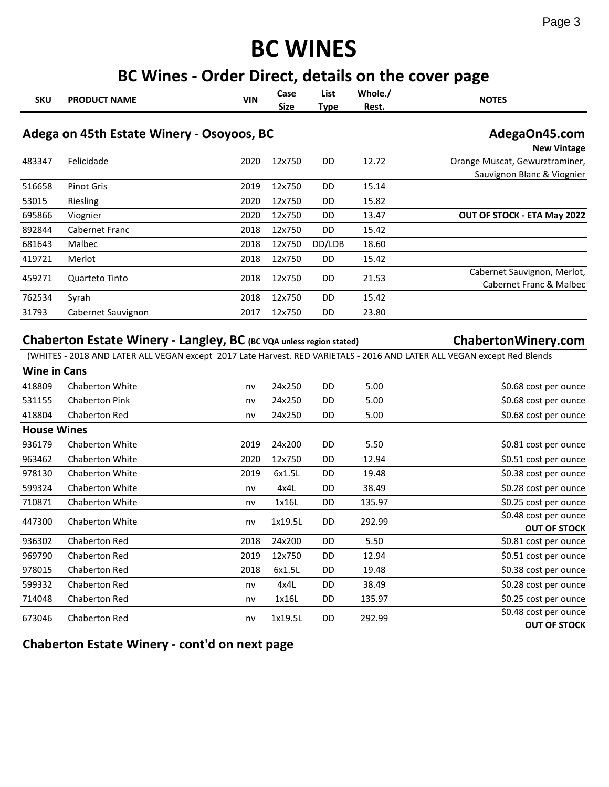# **BC WINES**

## **BC Wines - Order Direct, details on the cover page**

| <b>SKU</b>          | <b>PRODUCT NAME</b>                                                 | <b>VIN</b> | Case<br><b>Size</b> | List<br><b>Type</b> | Whole./<br>Rest. | <b>NOTES</b>                                                                                                                                   |
|---------------------|---------------------------------------------------------------------|------------|---------------------|---------------------|------------------|------------------------------------------------------------------------------------------------------------------------------------------------|
|                     | Adega on 45th Estate Winery - Osoyoos, BC                           |            |                     |                     |                  | AdegaOn45.com                                                                                                                                  |
|                     |                                                                     |            |                     |                     |                  | <b>New Vintage</b>                                                                                                                             |
| 483347              | Felicidade                                                          | 2020       | 12x750              | DD                  | 12.72            | Orange Muscat, Gewurztraminer,                                                                                                                 |
|                     |                                                                     |            |                     |                     |                  | Sauvignon Blanc & Viognier                                                                                                                     |
| 516658              | <b>Pinot Gris</b>                                                   | 2019       | 12x750              | DD                  | 15.14            |                                                                                                                                                |
| 53015               | Riesling                                                            | 2020       | 12x750              | DD                  | 15.82            |                                                                                                                                                |
| 695866              | Viognier                                                            | 2020       | 12x750              | DD                  | 13.47            | OUT OF STOCK - ETA May 2022                                                                                                                    |
| 892844              | Cabernet Franc                                                      | 2018       | 12x750              | DD                  | 15.42            |                                                                                                                                                |
| 681643              | Malbec                                                              | 2018       | 12x750              | DD/LDB              | 18.60            |                                                                                                                                                |
| 419721              | Merlot                                                              | 2018       | 12x750              | DD                  | 15.42            |                                                                                                                                                |
| 459271              | Quarteto Tinto                                                      | 2018       | 12x750              | DD                  | 21.53            | Cabernet Sauvignon, Merlot,<br>Cabernet Franc & Malbec                                                                                         |
| 762534              | Syrah                                                               | 2018       | 12x750              | DD                  | 15.42            |                                                                                                                                                |
| 31793               | Cabernet Sauvignon                                                  | 2017       | 12x750              | DD                  | 23.80            |                                                                                                                                                |
| <b>Wine in Cans</b> | Chaberton Estate Winery - Langley, BC (BC VQA unless region stated) |            |                     |                     |                  | ChabertonWinery.com<br>(WHITES - 2018 AND LATER ALL VEGAN except 2017 Late Harvest. RED VARIETALS - 2016 AND LATER ALL VEGAN except Red Blends |
|                     |                                                                     |            |                     |                     |                  |                                                                                                                                                |
| 418809              | Chaberton White                                                     | nv         | 24x250              | DD                  | 5.00             | \$0.68 cost per ounce                                                                                                                          |
| 531155              | <b>Chaberton Pink</b>                                               | nv         | 24x250              | DD                  | 5.00             | \$0.68 cost per ounce                                                                                                                          |
| 418804              | Chaberton Red                                                       | nv         | 24x250              | DD                  | 5.00             | \$0.68 cost per ounce                                                                                                                          |
| <b>House Wines</b>  |                                                                     |            |                     |                     |                  |                                                                                                                                                |
| 936179              | Chaberton White                                                     | 2019       | 24x200              | DD                  | 5.50             | \$0.81 cost per ounce                                                                                                                          |
| 963462              | Chaberton White                                                     | 2020       | 12x750              | DD                  | 12.94            | \$0.51 cost per ounce                                                                                                                          |
| 978130              | Chaberton White                                                     | 2019       | 6x1.5L              | DD                  | 19.48            | \$0.38 cost per ounce                                                                                                                          |
| 599324              | Chaberton White                                                     | nv         | 4x4L                | DD                  | 38.49            | \$0.28 cost per ounce                                                                                                                          |
| 710871              | Chaberton White                                                     | nv         | 1x16L               | DD                  | 135.97           | \$0.25 cost per ounce                                                                                                                          |
| 447300              | <b>Chaberton White</b>                                              | nv         | 1x19.5L             | DD                  | 292.99           | \$0.48 cost per ounce                                                                                                                          |
| 936302              | Chaberton Red                                                       | 2018       | 24x200              | DD                  | 5.50             | <b>OUT OF STOCK</b><br>\$0.81 cost per ounce                                                                                                   |
| 969790              | Chaberton Red                                                       | 2019       | 12x750              | DD                  | 12.94            | \$0.51 cost per ounce                                                                                                                          |
| 978015              | Chaberton Red                                                       | 2018       | 6x1.5L              | DD                  | 19.48            | \$0.38 cost per ounce                                                                                                                          |
| 599332              | Chaberton Red                                                       | nv         | 4x4L                | DD                  | 38.49            | \$0.28 cost per ounce                                                                                                                          |
| 714048              | Chaberton Red                                                       | nv         | 1x16L               | DD                  | 135.97           | \$0.25 cost per ounce                                                                                                                          |
| 673046              | Chaberton Red                                                       | nv         | 1x19.5L             | DD                  | 292.99           | \$0.48 cost per ounce<br><b>OUT OF STOCK</b>                                                                                                   |

**Chaberton Estate Winery - cont'd on next page**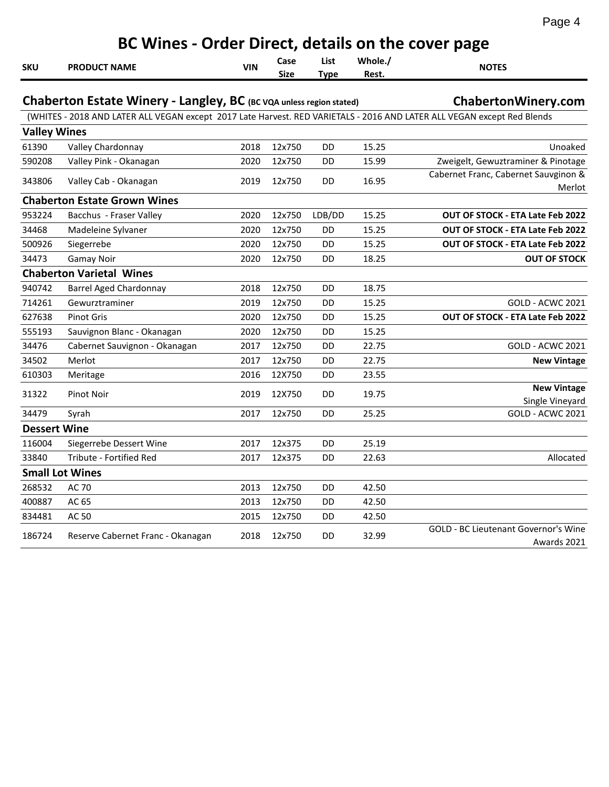| г<br>ı<br>- |  |
|-------------|--|
|-------------|--|

|                     | BC Wines - Order Direct, details on the cover page                                                                      |            |                     |                     |                  |                                                     |  |  |  |  |
|---------------------|-------------------------------------------------------------------------------------------------------------------------|------------|---------------------|---------------------|------------------|-----------------------------------------------------|--|--|--|--|
| <b>SKU</b>          | <b>PRODUCT NAME</b>                                                                                                     | <b>VIN</b> | Case<br><b>Size</b> | List<br><b>Type</b> | Whole./<br>Rest. | <b>NOTES</b>                                        |  |  |  |  |
|                     | Chaberton Estate Winery - Langley, BC (BC VQA unless region stated)                                                     |            |                     |                     |                  | ChabertonWinery.com                                 |  |  |  |  |
|                     | (WHITES - 2018 AND LATER ALL VEGAN except 2017 Late Harvest. RED VARIETALS - 2016 AND LATER ALL VEGAN except Red Blends |            |                     |                     |                  |                                                     |  |  |  |  |
| <b>Valley Wines</b> |                                                                                                                         |            |                     |                     |                  |                                                     |  |  |  |  |
| 61390               | Valley Chardonnay                                                                                                       | 2018       | 12x750              | DD                  | 15.25            | Unoaked                                             |  |  |  |  |
| 590208              | Valley Pink - Okanagan                                                                                                  | 2020       | 12x750              | DD                  | 15.99            | Zweigelt, Gewuztraminer & Pinotage                  |  |  |  |  |
| 343806              | Valley Cab - Okanagan                                                                                                   | 2019       | 12x750              | DD                  | 16.95            | Cabernet Franc, Cabernet Sauvginon &<br>Merlot      |  |  |  |  |
|                     | <b>Chaberton Estate Grown Wines</b>                                                                                     |            |                     |                     |                  |                                                     |  |  |  |  |
| 953224              | Bacchus - Fraser Valley                                                                                                 | 2020       | 12x750              | LDB/DD              | 15.25            | OUT OF STOCK - ETA Late Feb 2022                    |  |  |  |  |
| 34468               | Madeleine Sylvaner                                                                                                      | 2020       | 12x750              | DD                  | 15.25            | OUT OF STOCK - ETA Late Feb 2022                    |  |  |  |  |
| 500926              | Siegerrebe                                                                                                              | 2020       | 12x750              | DD                  | 15.25            | <b>OUT OF STOCK - ETA Late Feb 2022</b>             |  |  |  |  |
| 34473               | <b>Gamay Noir</b>                                                                                                       | 2020       | 12x750              | DD                  | 18.25            | <b>OUT OF STOCK</b>                                 |  |  |  |  |
|                     | <b>Chaberton Varietal Wines</b>                                                                                         |            |                     |                     |                  |                                                     |  |  |  |  |
| 940742              | <b>Barrel Aged Chardonnay</b>                                                                                           | 2018       | 12x750              | DD                  | 18.75            |                                                     |  |  |  |  |
| 714261              | Gewurztraminer                                                                                                          | 2019       | 12x750              | DD                  | 15.25            | <b>GOLD - ACWC 2021</b>                             |  |  |  |  |
| 627638              | <b>Pinot Gris</b>                                                                                                       | 2020       | 12x750              | DD                  | 15.25            | OUT OF STOCK - ETA Late Feb 2022                    |  |  |  |  |
| 555193              | Sauvignon Blanc - Okanagan                                                                                              | 2020       | 12x750              | DD                  | 15.25            |                                                     |  |  |  |  |
| 34476               | Cabernet Sauvignon - Okanagan                                                                                           | 2017       | 12x750              | DD                  | 22.75            | <b>GOLD - ACWC 2021</b>                             |  |  |  |  |
| 34502               | Merlot                                                                                                                  | 2017       | 12x750              | DD                  | 22.75            | <b>New Vintage</b>                                  |  |  |  |  |
| 610303              | Meritage                                                                                                                | 2016       | 12X750              | DD                  | 23.55            |                                                     |  |  |  |  |
| 31322               | Pinot Noir                                                                                                              | 2019       | 12X750              | DD                  | 19.75            | <b>New Vintage</b><br>Single Vineyard               |  |  |  |  |
| 34479               | Syrah                                                                                                                   | 2017       | 12x750              | DD                  | 25.25            | <b>GOLD - ACWC 2021</b>                             |  |  |  |  |
| <b>Dessert Wine</b> |                                                                                                                         |            |                     |                     |                  |                                                     |  |  |  |  |
| 116004              | Siegerrebe Dessert Wine                                                                                                 | 2017       | 12x375              | DD                  | 25.19            |                                                     |  |  |  |  |
| 33840               | Tribute - Fortified Red                                                                                                 | 2017       | 12x375              | DD                  | 22.63            | Allocated                                           |  |  |  |  |
|                     | <b>Small Lot Wines</b>                                                                                                  |            |                     |                     |                  |                                                     |  |  |  |  |
| 268532              | AC 70                                                                                                                   | 2013       | 12x750              | DD                  | 42.50            |                                                     |  |  |  |  |
| 400887              | AC 65                                                                                                                   | 2013       | 12x750              | DD                  | 42.50            |                                                     |  |  |  |  |
| 834481              | AC 50                                                                                                                   | 2015       | 12x750              | DD                  | 42.50            |                                                     |  |  |  |  |
| 186724              | Reserve Cabernet Franc - Okanagan                                                                                       | 2018       | 12x750              | DD                  | 32.99            | GOLD - BC Lieutenant Governor's Wine<br>Awards 2021 |  |  |  |  |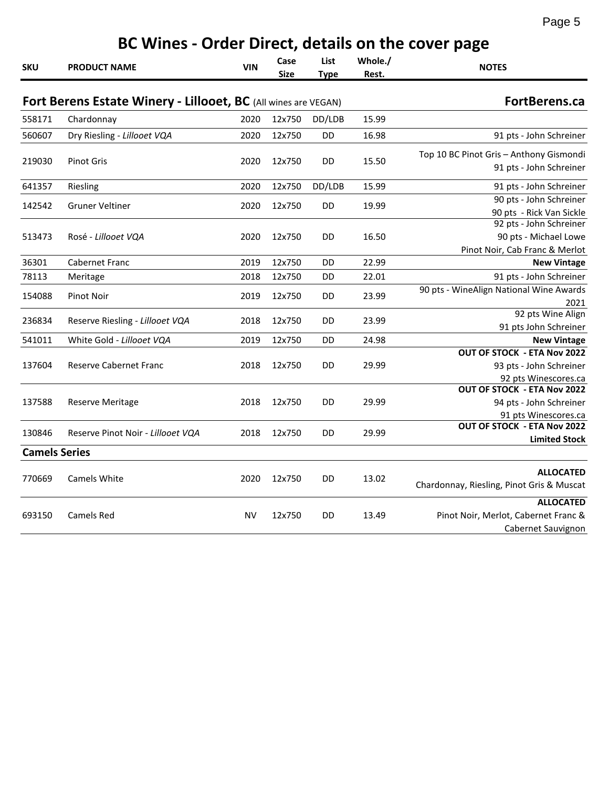#### **SKU PRODUCT NAME VIN Case Size List Type Whole./ Rest. NOTES Fort Berens Estate Winery - Lillooet, BC** (All wines are VEGAN) **FortBerens.ca** 558171 Chardonnay 2020 12x750 DD/LDB 15.99 560607 Dry Riesling - *Lillooet VQA* 2020 12x750 DD 16.98 91 pts - John Schreiner 219030 Pinot Gris 2020 12x750 DD 15.50 Top 10 BC Pinot Gris – Anthony Gismondi 91 pts - John Schreiner 641357 Riesling 2020 12x750 DD/LDB 15.99 91 pts - John Schreiner 142542 Gruner Veltiner 2020 12x750 DD 19.99 90 pts - John Schreiner 90 pts - Rick Van Sickle 513473 Rosé - *Lillooet VQA* 2020 12x750 DD 16.50 92 pts - John Schreiner 90 pts - Michael Lowe Pinot Noir, Cab Franc & Merlot 36301 Cabernet Franc 2019 12x750 DD 22.99 **New Vintage** 78113 Meritage 2018 12x750 DD 22.01 91 pts - John Schreiner 154088 Pinot Noir 2019 12x750 DD 23.99 90 pts - WineAlign National Wine Awards 2021 236834 Reserve Riesling *- Lillooet VQA* 2018 12x750 DD 23.99 92 pts Wine Align 91 pts John Schreiner 541011 White Gold *- Lillooet VQA* 2019 12x750 DD 24.98 **New Vintage** 137604 Reserve Cabernet Franc 2018 12x750 DD 29.99 **OUT OF STOCK - ETA Nov 2022** 93 pts - John Schreiner 92 pts Winescores.ca 137588 Reserve Meritage 2018 12x750 DD 29.99 **OUT OF STOCK - ETA Nov 2022** 94 pts - John Schreiner 91 pts Winescores.ca 130846 Reserve Pinot Noir *- Lillooet VQA* 2018 12x750 DD 29.99 **OUT OF STOCK - ETA Nov 2022 Limited Stock** 770669 Camels White 2020 12x750 DD 13.02 **ALLOCATED** Chardonnay, Riesling, Pinot Gris & Muscat 693150 Camels Red NV 12x750 DD 13.49 **ALLOCATED** Pinot Noir, Merlot, Cabernet Franc & Cabernet Sauvignon **Camels Series BC Wines - Order Direct, details on the cover page**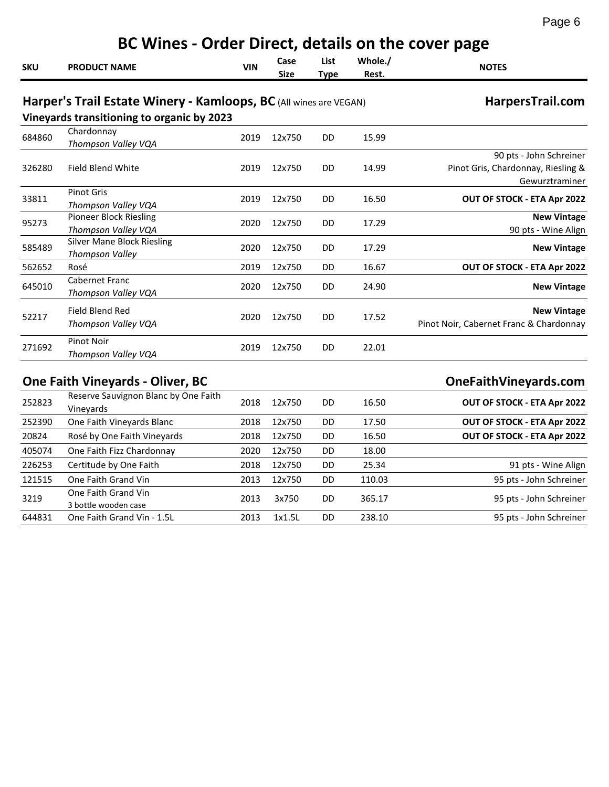| C<br>Ξ |  |
|--------|--|
|        |  |

|            | BC Wines - Order Direct, details on the cover page                                                              |            |                     |                     |                  |                                                                                 |  |  |  |  |
|------------|-----------------------------------------------------------------------------------------------------------------|------------|---------------------|---------------------|------------------|---------------------------------------------------------------------------------|--|--|--|--|
| <b>SKU</b> | <b>PRODUCT NAME</b>                                                                                             | <b>VIN</b> | Case<br><b>Size</b> | List<br><b>Type</b> | Whole./<br>Rest. | <b>NOTES</b>                                                                    |  |  |  |  |
|            | Harper's Trail Estate Winery - Kamloops, BC (All wines are VEGAN)<br>Vineyards transitioning to organic by 2023 |            |                     |                     |                  | HarpersTrail.com                                                                |  |  |  |  |
| 684860     | Chardonnay<br>Thompson Valley VQA                                                                               | 2019       | 12x750              | DD                  | 15.99            |                                                                                 |  |  |  |  |
| 326280     | Field Blend White                                                                                               | 2019       | 12x750              | DD                  | 14.99            | 90 pts - John Schreiner<br>Pinot Gris, Chardonnay, Riesling &<br>Gewurztraminer |  |  |  |  |
| 33811      | <b>Pinot Gris</b><br>Thompson Valley VQA                                                                        | 2019       | 12x750              | DD.                 | 16.50            | OUT OF STOCK - ETA Apr 2022                                                     |  |  |  |  |
| 95273      | <b>Pioneer Block Riesling</b><br>Thompson Valley VQA                                                            | 2020       | 12x750              | DD                  | 17.29            | <b>New Vintage</b><br>90 pts - Wine Align                                       |  |  |  |  |
| 585489     | <b>Silver Mane Block Riesling</b><br>Thompson Valley                                                            | 2020       | 12x750              | DD                  | 17.29            | <b>New Vintage</b>                                                              |  |  |  |  |
| 562652     | Rosé                                                                                                            | 2019       | 12x750              | DD                  | 16.67            | OUT OF STOCK - ETA Apr 2022                                                     |  |  |  |  |
| 645010     | Cabernet Franc<br>Thompson Valley VQA                                                                           | 2020       | 12x750              | DD                  | 24.90            | <b>New Vintage</b>                                                              |  |  |  |  |
| 52217      | Field Blend Red<br>Thompson Valley VQA                                                                          | 2020       | 12x750              | DD                  | 17.52            | <b>New Vintage</b><br>Pinot Noir, Cabernet Franc & Chardonnay                   |  |  |  |  |
| 271692     | <b>Pinot Noir</b><br>Thompson Valley VQA                                                                        | 2019       | 12x750              | DD                  | 22.01            |                                                                                 |  |  |  |  |
|            | <b>One Faith Vineyards - Oliver, BC</b>                                                                         |            |                     |                     |                  | OneFaithVineyards.com                                                           |  |  |  |  |
| 252823     | Reserve Sauvignon Blanc by One Faith<br>Vineyards                                                               | 2018       | 12x750              | DD                  | 16.50            | OUT OF STOCK - ETA Apr 2022                                                     |  |  |  |  |
| 252390     | One Faith Vineyards Blanc                                                                                       | 2018       | 12x750              | DD                  | 17.50            | OUT OF STOCK - ETA Apr 2022                                                     |  |  |  |  |
| 20824      | Rosé by One Faith Vineyards                                                                                     | 2018       | 12x750              | DD                  | 16.50            | OUT OF STOCK - ETA Apr 2022                                                     |  |  |  |  |
| 405074     | One Faith Fizz Chardonnay                                                                                       | 2020       | 12x750              | DD                  | 18.00            |                                                                                 |  |  |  |  |
| 226253     | Certitude by One Faith                                                                                          | 2018       | 12x750              | DD                  | 25.34            | 91 pts - Wine Align                                                             |  |  |  |  |
| 121515     | One Faith Grand Vin                                                                                             | 2013       | 12x750              | DD                  | 110.03           | 95 pts - John Schreiner                                                         |  |  |  |  |
| 3219       | One Faith Grand Vin<br>3 bottle wooden case                                                                     | 2013       | 3x750               | DD                  | 365.17           | 95 pts - John Schreiner                                                         |  |  |  |  |
| 644831     | One Faith Grand Vin - 1.5L                                                                                      | 2013       | 1x1.5L              | DD                  | 238.10           | 95 pts - John Schreiner                                                         |  |  |  |  |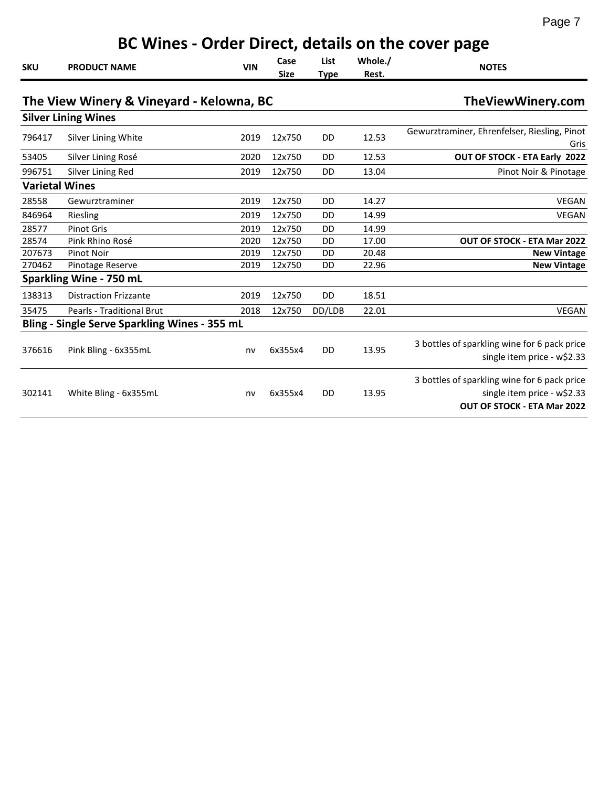|--|

|            | BC Wines - Order Direct, details on the cover page |            |                     |                     |                  |                                                                                                                   |  |  |  |  |
|------------|----------------------------------------------------|------------|---------------------|---------------------|------------------|-------------------------------------------------------------------------------------------------------------------|--|--|--|--|
| <b>SKU</b> | <b>PRODUCT NAME</b>                                | <b>VIN</b> | Case<br><b>Size</b> | List<br><b>Type</b> | Whole./<br>Rest. | <b>NOTES</b>                                                                                                      |  |  |  |  |
|            | The View Winery & Vineyard - Kelowna, BC           |            |                     |                     |                  | TheViewWinery.com                                                                                                 |  |  |  |  |
|            | <b>Silver Lining Wines</b>                         |            |                     |                     |                  |                                                                                                                   |  |  |  |  |
| 796417     | Silver Lining White                                | 2019       | 12x750              | DD                  | 12.53            | Gewurztraminer, Ehrenfelser, Riesling, Pinot<br>Gris                                                              |  |  |  |  |
| 53405      | Silver Lining Rosé                                 | 2020       | 12x750              | DD                  | 12.53            | OUT OF STOCK - ETA Early 2022                                                                                     |  |  |  |  |
| 996751     | Silver Lining Red                                  | 2019       | 12x750              | DD                  | 13.04            | Pinot Noir & Pinotage                                                                                             |  |  |  |  |
|            | <b>Varietal Wines</b>                              |            |                     |                     |                  |                                                                                                                   |  |  |  |  |
| 28558      | Gewurztraminer                                     | 2019       | 12x750              | <b>DD</b>           | 14.27            | <b>VEGAN</b>                                                                                                      |  |  |  |  |
| 846964     | Riesling                                           | 2019       | 12x750              | DD                  | 14.99            | <b>VEGAN</b>                                                                                                      |  |  |  |  |
| 28577      | <b>Pinot Gris</b>                                  | 2019       | 12x750              | <b>DD</b>           | 14.99            |                                                                                                                   |  |  |  |  |
| 28574      | Pink Rhino Rosé                                    | 2020       | 12x750              | DD                  | 17.00            | <b>OUT OF STOCK - ETA Mar 2022</b>                                                                                |  |  |  |  |
| 207673     | <b>Pinot Noir</b>                                  | 2019       | 12x750              | DD                  | 20.48            | <b>New Vintage</b>                                                                                                |  |  |  |  |
| 270462     | Pinotage Reserve                                   | 2019       | 12x750              | DD                  | 22.96            | <b>New Vintage</b>                                                                                                |  |  |  |  |
|            | Sparkling Wine - 750 mL                            |            |                     |                     |                  |                                                                                                                   |  |  |  |  |
| 138313     | <b>Distraction Frizzante</b>                       | 2019       | 12x750              | <b>DD</b>           | 18.51            |                                                                                                                   |  |  |  |  |
| 35475      | Pearls - Traditional Brut                          | 2018       | 12x750              | DD/LDB              | 22.01            | <b>VEGAN</b>                                                                                                      |  |  |  |  |
|            | Bling - Single Serve Sparkling Wines - 355 mL      |            |                     |                     |                  |                                                                                                                   |  |  |  |  |
| 376616     | Pink Bling - 6x355mL                               | nv         | 6x355x4             | DD                  | 13.95            | 3 bottles of sparkling wine for 6 pack price<br>single item price - w\$2.33                                       |  |  |  |  |
| 302141     | White Bling - 6x355mL                              | nv         | 6x355x4             | DD                  | 13.95            | 3 bottles of sparkling wine for 6 pack price<br>single item price - w\$2.33<br><b>OUT OF STOCK - ETA Mar 2022</b> |  |  |  |  |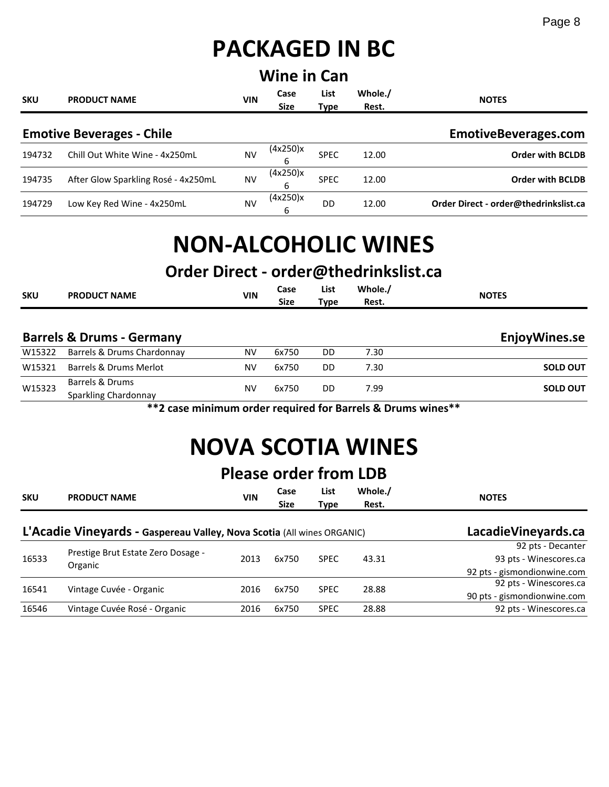# **PACKAGED IN BC**

| <b>Wine in Can</b> |                                     |            |                     |                     |                  |                                       |  |  |
|--------------------|-------------------------------------|------------|---------------------|---------------------|------------------|---------------------------------------|--|--|
| <b>SKU</b>         | <b>PRODUCT NAME</b>                 | <b>VIN</b> | Case<br><b>Size</b> | List<br><b>Type</b> | Whole./<br>Rest. | <b>NOTES</b>                          |  |  |
|                    | <b>Emotive Beverages - Chile</b>    |            |                     |                     |                  | EmotiveBeverages.com                  |  |  |
| 194732             | Chill Out White Wine - 4x250mL      | NV         | (4x250)x<br>6       | <b>SPEC</b>         | 12.00            | <b>Order with BCLDB</b>               |  |  |
| 194735             | After Glow Sparkling Rosé - 4x250mL | <b>NV</b>  | (4x250)x<br>6       | <b>SPEC</b>         | 12.00            | <b>Order with BCLDB</b>               |  |  |
| 194729             | Low Key Red Wine - 4x250mL          | NV         | (4x250)x<br>6       | DD                  | 12.00            | Order Direct - order@thedrinkslist.ca |  |  |

# **NON-ALCOHOLIC WINES**

## **Order Direct - order@thedrinkslist.ca**

| <b>SKU</b> | <b>PRODUCT NAME</b>                  | <b>VIN</b> | Case<br>Size | List<br>Type | Whole./<br>Rest. | <b>NOTES</b>  |
|------------|--------------------------------------|------------|--------------|--------------|------------------|---------------|
|            | <b>Barrels &amp; Drums - Germany</b> |            |              |              |                  | EnjoyWines.se |
| W15322     | Barrels & Drums Chardonnay           | NV         | 6x750        | DD           | 7.30             |               |

| <b>VVIJJZZ</b> | <b>Barrels &amp; Diurils Chargonital</b> | IV V | <b>UA/JU</b> | טע | טכ.י |                 |
|----------------|------------------------------------------|------|--------------|----|------|-----------------|
| W15321         | Barrels & Drums Merlot                   | N٧   | 6x750        | DD | 7.30 | <b>SOLD OUT</b> |
| W15323         | Barrels & Drums                          | N٧   | 6x750        | DD | 7.99 | <b>SOLD OUT</b> |
|                | Sparkling Chardonnay                     |      |              |    |      |                 |

**\*\*2 case minimum order required for Barrels & Drums wines\*\***

# **NOVA SCOTIA WINES**

## **Please order from LDB**

| <b>SKU</b> | <b>PRODUCT NAME</b>                                                    | VIN                   | Case<br><b>Size</b> | List<br>Type | Whole./<br>Rest. | <b>NOTES</b>                |
|------------|------------------------------------------------------------------------|-----------------------|---------------------|--------------|------------------|-----------------------------|
|            | L'Acadie Vineyards - Gaspereau Valley, Nova Scotia (All wines ORGANIC) | Lacadie Vine yards.ca |                     |              |                  |                             |
|            | Prestige Brut Estate Zero Dosage -<br>Organic                          | 2013                  | 6x750               | <b>SPEC</b>  | 43.31            | 92 pts - Decanter           |
| 16533      |                                                                        |                       |                     |              |                  | 93 pts - Winescores.ca      |
|            |                                                                        |                       |                     |              |                  | 92 pts - gismondionwine.com |
|            |                                                                        |                       | 6x750               | <b>SPEC</b>  | 28.88            | 92 pts - Winescores.ca      |
| 16541      | Vintage Cuvée - Organic                                                | 2016                  |                     |              |                  | 90 pts - gismondionwine.com |
| 16546      | Vintage Cuvée Rosé - Organic                                           | 2016                  | 6x750               | <b>SPEC</b>  | 28.88            | 92 pts - Winescores.ca      |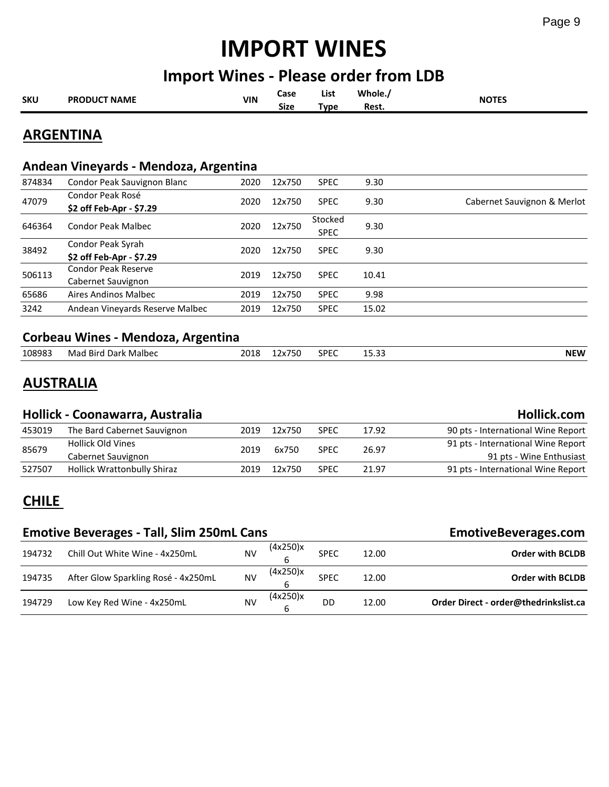# **IMPORT WINES**

#### **Import Wines - Please order from LDB**

| <b>SKU</b> | <b>PRODUCT NAME</b> | <b>VIN</b> | Case        | List        | Whole., | <b>NOTES</b> |
|------------|---------------------|------------|-------------|-------------|---------|--------------|
|            |                     |            | <b>Size</b> | <b>Tvpe</b> | Rest.   |              |
|            |                     |            |             |             |         |              |

#### **ARGENTINA**

#### **Andean Vineyards - Mendoza, Argentina**

| 874834 | Condor Peak Sauvignon Blanc     | 2020 | 12x750 | <b>SPEC</b> | 9.30  |                             |
|--------|---------------------------------|------|--------|-------------|-------|-----------------------------|
| 47079  | Condor Peak Rosé                | 2020 | 12x750 | <b>SPEC</b> | 9.30  | Cabernet Sauvignon & Merlot |
|        | \$2 off Feb-Apr - \$7.29        |      |        |             |       |                             |
| 646364 | <b>Condor Peak Malbec</b>       | 2020 | 12x750 | Stocked     | 9.30  |                             |
|        |                                 |      |        | <b>SPEC</b> |       |                             |
|        | Condor Peak Syrah               | 2020 | 12x750 | <b>SPEC</b> | 9.30  |                             |
| 38492  | \$2 off Feb-Apr - \$7.29        |      |        |             |       |                             |
|        | <b>Condor Peak Reserve</b>      | 2019 | 12x750 |             | 10.41 |                             |
| 506113 | Cabernet Sauvignon              |      |        | <b>SPEC</b> |       |                             |
| 65686  | Aires Andinos Malbec            | 2019 | 12x750 | <b>SPEC</b> | 9.98  |                             |
| 3242   | Andean Vineyards Reserve Malbec | 2019 | 12x750 | <b>SPEC</b> | 15.02 |                             |
|        |                                 |      |        |             |       |                             |

#### **Corbeau Wines - Mendoza, Argentina**

| 108983 | Malbec<br>Mai<br>-Birc<br>. Dark | 2018 | $-2$ | SPEC | $\sim$ $\sim$<br>----- | <b>NEW</b> |
|--------|----------------------------------|------|------|------|------------------------|------------|
|        |                                  |      |      |      |                        |            |

#### **AUSTRALIA**

#### **Hollick - Coonawarra, Australia Hollick.com**

|        |                             |      |        |             |       | .                                  |
|--------|-----------------------------|------|--------|-------------|-------|------------------------------------|
| 453019 | The Bard Cabernet Sauvignon | 2019 | 12x750 | <b>SPEC</b> | 17.92 | 90 pts - International Wine Report |
| 85679  | <b>Hollick Old Vines</b>    | 2019 | 6x750  | <b>SPEC</b> | 26.97 | 91 pts - International Wine Report |
|        | Cabernet Sauvignon          |      |        |             |       | 91 pts - Wine Enthusiast           |
| 527507 | Hollick Wrattonbully Shiraz | 2019 | 12x750 | <b>SPEC</b> | 21.97 | 91 pts - International Wine Report |

#### **CHILE**

#### **Emotive Beverages - Tall, Slim 250mL Cans EmotiveBeverages.com**

| 194732 | Chill Out White Wine - 4x250mL      | N٧ | (4x250)x | SPEC        | 12.00 | <b>Order with BCLDB</b>               |
|--------|-------------------------------------|----|----------|-------------|-------|---------------------------------------|
| 194735 | After Glow Sparkling Rosé - 4x250mL | NV | (4x250)x | <b>SPEC</b> | 12.00 | <b>Order with BCLDB</b>               |
| 194729 | Low Key Red Wine - 4x250mL          | NV | (4x250)x | DD          | 12.00 | Order Direct - order@thedrinkslist.ca |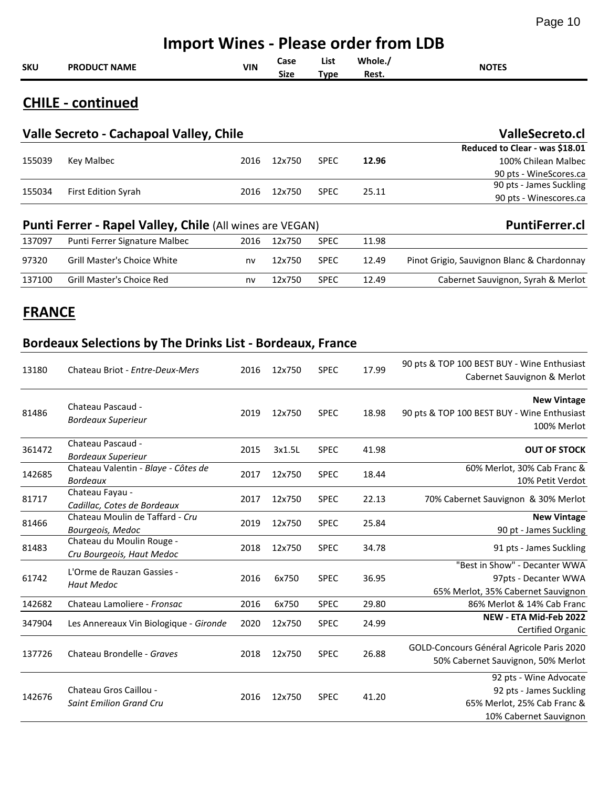| <b>Import Wines - Please order from LDB</b> |                                         |     |              |                     |                  |                                |  |  |
|---------------------------------------------|-----------------------------------------|-----|--------------|---------------------|------------------|--------------------------------|--|--|
| SKU                                         | <b>PRODUCT NAME</b>                     | VIN | Case<br>Size | List<br><b>Type</b> | Whole./<br>Rest. | <b>NOTES</b>                   |  |  |
|                                             | <b>CHILE - continued</b>                |     |              |                     |                  |                                |  |  |
|                                             | Valle Secreto - Cachapoal Valley, Chile |     |              |                     |                  | <b>ValleSecreto.cl</b>         |  |  |
|                                             |                                         |     |              |                     |                  | Boduced to Closs, west \$10.01 |  |  |

|        |                            |      |        |             |       | Reduced to Clear - was \$18.01 |
|--------|----------------------------|------|--------|-------------|-------|--------------------------------|
| 155039 | Key Malbec                 | 2016 | 12x750 | <b>SPEC</b> | 12.96 | 100% Chilean Malbec            |
|        |                            |      |        |             |       | 90 pts - WineScores.ca         |
| 155034 |                            | 2016 | 12x750 | <b>SPEC</b> | 25.11 | 90 pts - James Suckling        |
|        | <b>First Edition Syrah</b> |      |        |             |       | 90 pts - Winescores.ca         |

#### **Punti Ferrer - Rapel Valley, Chile** (All wines are VEGAN) **PuntiFerrer.cl PuntiFerrer.cl**

| 137097 | Punti Ferrer Signature Malbec | 2016 | 12x750 | <b>SPEC</b> | 11.98 |                                            |
|--------|-------------------------------|------|--------|-------------|-------|--------------------------------------------|
| 97320  | Grill Master's Choice White   | nv   | 12x750 | <b>SPEC</b> | 12.49 | Pinot Grigio, Sauvignon Blanc & Chardonnay |
| 137100 | Grill Master's Choice Red     | nv   | 12x750 | <b>SPEC</b> | 12.49 | Cabernet Sauvignon, Syrah & Merlot         |

#### **FRANCE**

#### **Bordeaux Selections by The Drinks List - Bordeaux, France**

| 13180  | Chateau Briot - Entre-Deux-Mers                          | 2016 | 12x750 | <b>SPEC</b> | 17.99 | 90 pts & TOP 100 BEST BUY - Wine Enthusiast<br>Cabernet Sauvignon & Merlot                                 |
|--------|----------------------------------------------------------|------|--------|-------------|-------|------------------------------------------------------------------------------------------------------------|
| 81486  | Chateau Pascaud -<br><b>Bordeaux Superieur</b>           | 2019 | 12x750 | <b>SPEC</b> | 18.98 | <b>New Vintage</b><br>90 pts & TOP 100 BEST BUY - Wine Enthusiast<br>100% Merlot                           |
| 361472 | Chateau Pascaud -<br><b>Bordeaux Superieur</b>           | 2015 | 3x1.5L | <b>SPEC</b> | 41.98 | <b>OUT OF STOCK</b>                                                                                        |
| 142685 | Chateau Valentin - Blaye - Côtes de<br><b>Bordeaux</b>   | 2017 | 12x750 | <b>SPEC</b> | 18.44 | 60% Merlot, 30% Cab Franc &<br>10% Petit Verdot                                                            |
| 81717  | Chateau Fayau -<br>Cadillac, Cotes de Bordeaux           | 2017 | 12x750 | <b>SPEC</b> | 22.13 | 70% Cabernet Sauvignon & 30% Merlot                                                                        |
| 81466  | Chateau Moulin de Taffard - Cru<br>Bourgeois, Medoc      | 2019 | 12x750 | <b>SPEC</b> | 25.84 | <b>New Vintage</b><br>90 pt - James Suckling                                                               |
| 81483  | Chateau du Moulin Rouge -<br>Cru Bourgeois, Haut Medoc   | 2018 | 12x750 | <b>SPEC</b> | 34.78 | 91 pts - James Suckling                                                                                    |
| 61742  | L'Orme de Rauzan Gassies -<br><b>Haut Medoc</b>          | 2016 | 6x750  | <b>SPEC</b> | 36.95 | "Best in Show" - Decanter WWA<br>97pts - Decanter WWA<br>65% Merlot, 35% Cabernet Sauvignon                |
| 142682 | Chateau Lamoliere - Fronsac                              | 2016 | 6x750  | <b>SPEC</b> | 29.80 | 86% Merlot & 14% Cab Franc                                                                                 |
| 347904 | Les Annereaux Vin Biologique - Gironde                   | 2020 | 12x750 | <b>SPEC</b> | 24.99 | NEW - ETA Mid-Feb 2022<br>Certified Organic                                                                |
| 137726 | Chateau Brondelle - Graves                               | 2018 | 12x750 | <b>SPEC</b> | 26.88 | GOLD-Concours Général Agricole Paris 2020<br>50% Cabernet Sauvignon, 50% Merlot                            |
| 142676 | Chateau Gros Caillou -<br><b>Saint Emilion Grand Cru</b> | 2016 | 12x750 | <b>SPEC</b> | 41.20 | 92 pts - Wine Advocate<br>92 pts - James Suckling<br>65% Merlot, 25% Cab Franc &<br>10% Cabernet Sauvignon |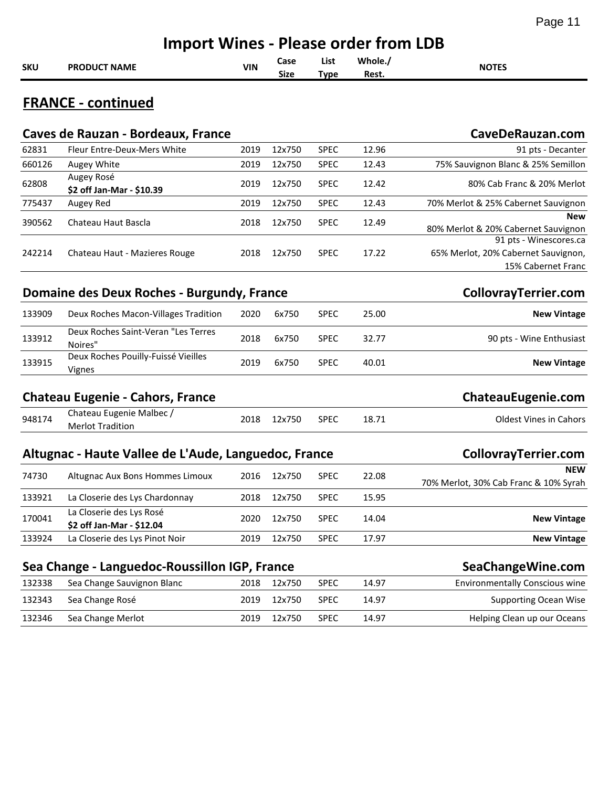|            | <b>Import Wines - Please order from LDB</b>           |            |                     |                     |                  |                                                                                     |  |  |  |  |
|------------|-------------------------------------------------------|------------|---------------------|---------------------|------------------|-------------------------------------------------------------------------------------|--|--|--|--|
| <b>SKU</b> | <b>PRODUCT NAME</b>                                   | <b>VIN</b> | Case<br><b>Size</b> | List<br><b>Type</b> | Whole./<br>Rest. | <b>NOTES</b>                                                                        |  |  |  |  |
|            | <b>FRANCE - continued</b>                             |            |                     |                     |                  |                                                                                     |  |  |  |  |
|            | Caves de Rauzan - Bordeaux, France                    |            |                     |                     |                  | CaveDeRauzan.com                                                                    |  |  |  |  |
| 62831      | Fleur Entre-Deux-Mers White                           | 2019       | 12x750              | <b>SPEC</b>         | 12.96            | 91 pts - Decanter                                                                   |  |  |  |  |
| 660126     | Augey White                                           | 2019       | 12x750              | <b>SPEC</b>         | 12.43            | 75% Sauvignon Blanc & 25% Semillon                                                  |  |  |  |  |
| 62808      | Augey Rosé<br>\$2 off Jan-Mar - \$10.39               | 2019       | 12x750              | <b>SPEC</b>         | 12.42            | 80% Cab Franc & 20% Merlot                                                          |  |  |  |  |
| 775437     | Augey Red                                             | 2019       | 12x750              | <b>SPEC</b>         | 12.43            | 70% Merlot & 25% Cabernet Sauvignon                                                 |  |  |  |  |
| 390562     | Chateau Haut Bascla                                   | 2018       | 12x750              | <b>SPEC</b>         | 12.49            | New<br>80% Merlot & 20% Cabernet Sauvignon                                          |  |  |  |  |
| 242214     | Chateau Haut - Mazieres Rouge                         | 2018       | 12x750              | <b>SPEC</b>         | 17.22            | 91 pts - Winescores.ca<br>65% Merlot, 20% Cabernet Sauvignon,<br>15% Cabernet Franc |  |  |  |  |
|            | Domaine des Deux Roches - Burgundy, France            |            |                     |                     |                  | CollovrayTerrier.com                                                                |  |  |  |  |
| 133909     | Deux Roches Macon-Villages Tradition                  | 2020       | 6x750               | <b>SPEC</b>         | 25.00            | <b>New Vintage</b>                                                                  |  |  |  |  |
| 133912     | Deux Roches Saint-Veran "Les Terres<br>Noires"        | 2018       | 6x750               | <b>SPEC</b>         | 32.77            | 90 pts - Wine Enthusiast                                                            |  |  |  |  |
| 133915     | Deux Roches Pouilly-Fuissé Vieilles<br>Vignes         | 2019       | 6x750               | <b>SPEC</b>         | 40.01            | <b>New Vintage</b>                                                                  |  |  |  |  |
|            | <b>Chateau Eugenie - Cahors, France</b>               |            |                     |                     |                  | ChateauEugenie.com                                                                  |  |  |  |  |
| 948174     | Chateau Eugenie Malbec /<br><b>Merlot Tradition</b>   | 2018       | 12x750              | <b>SPEC</b>         | 18.71            | <b>Oldest Vines in Cahors</b>                                                       |  |  |  |  |
|            | Altugnac - Haute Vallee de L'Aude, Languedoc, France  |            |                     |                     |                  | CollovrayTerrier.com                                                                |  |  |  |  |
| 74730      | Altugnac Aux Bons Hommes Limoux                       | 2016       | 12x750              | <b>SPEC</b>         | 22.08            | <b>NEW</b><br>70% Merlot, 30% Cab Franc & 10% Syrah                                 |  |  |  |  |
| 133921     | La Closerie des Lys Chardonnay                        | 2018       | 12x750              | <b>SPEC</b>         | 15.95            |                                                                                     |  |  |  |  |
| 170041     | La Closerie des Lys Rosé<br>\$2 off Jan-Mar - \$12.04 | 2020       | 12x750              | <b>SPEC</b>         | 14.04            | <b>New Vintage</b>                                                                  |  |  |  |  |
| 133924     | La Closerie des Lys Pinot Noir                        | 2019       | 12x750              | <b>SPEC</b>         | 17.97            | <b>New Vintage</b>                                                                  |  |  |  |  |
|            | Sea Change - Languedoc-Roussillon IGP, France         |            |                     |                     |                  | SeaChangeWine.com                                                                   |  |  |  |  |
| 132338     | Sea Change Sauvignon Blanc                            | 2018       | 12x750              | <b>SPEC</b>         | 14.97            | <b>Environmentally Conscious wine</b>                                               |  |  |  |  |
| 132343     | Sea Change Rosé                                       | 2019       | 12x750              | <b>SPEC</b>         | 14.97            | <b>Supporting Ocean Wise</b>                                                        |  |  |  |  |

132346 Sea Change Merlot 2019 12x750 SPEC 14.97 Helping Clean up our Oceans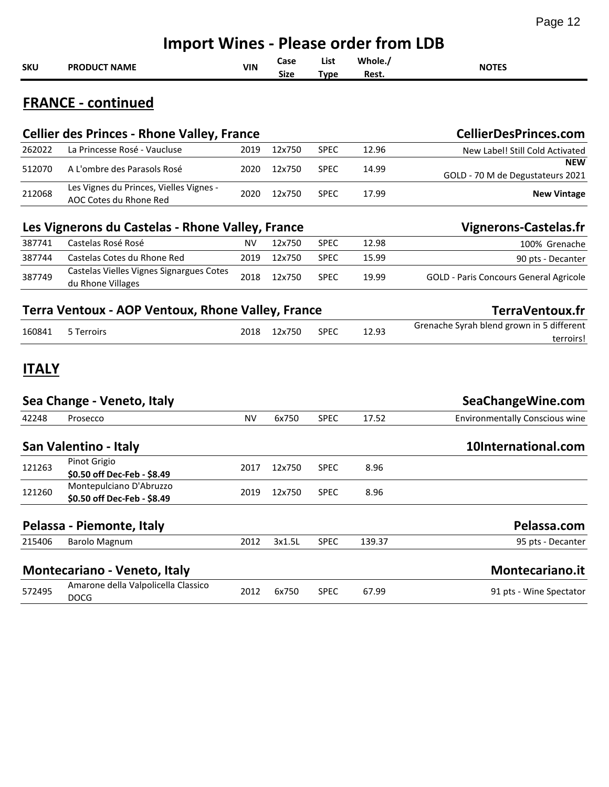|              | <b>Import Wines - Please order from LDB</b>                       |            |              |                     |                  |                                                        |  |  |  |  |
|--------------|-------------------------------------------------------------------|------------|--------------|---------------------|------------------|--------------------------------------------------------|--|--|--|--|
| <b>SKU</b>   | <b>PRODUCT NAME</b>                                               | <b>VIN</b> | Case<br>Size | List<br><b>Type</b> | Whole./<br>Rest. | <b>NOTES</b>                                           |  |  |  |  |
|              | <b>FRANCE - continued</b>                                         |            |              |                     |                  |                                                        |  |  |  |  |
|              | <b>Cellier des Princes - Rhone Valley, France</b>                 |            |              |                     |                  | <b>CellierDesPrinces.com</b>                           |  |  |  |  |
| 262022       | La Princesse Rosé - Vaucluse                                      | 2019       | 12x750       | <b>SPEC</b>         | 12.96            | New Label! Still Cold Activated                        |  |  |  |  |
| 512070       | A L'ombre des Parasols Rosé                                       | 2020       | 12x750       | <b>SPEC</b>         | 14.99            | <b>NEW</b><br>GOLD - 70 M de Degustateurs 2021         |  |  |  |  |
| 212068       | Les Vignes du Princes, Vielles Vignes -<br>AOC Cotes du Rhone Red | 2020       | 12x750       | <b>SPEC</b>         | 17.99            | <b>New Vintage</b>                                     |  |  |  |  |
|              | Les Vignerons du Castelas - Rhone Valley, France                  |            |              |                     |                  | <b>Vignerons-Castelas.fr</b>                           |  |  |  |  |
| 387741       | Castelas Rosé Rosé                                                | <b>NV</b>  | 12x750       | <b>SPEC</b>         | 12.98            | 100% Grenache                                          |  |  |  |  |
| 387744       | Castelas Cotes du Rhone Red                                       | 2019       | 12x750       | <b>SPEC</b>         | 15.99            | 90 pts - Decanter                                      |  |  |  |  |
| 387749       | Castelas Vielles Vignes Signargues Cotes<br>du Rhone Villages     | 2018       | 12x750       | <b>SPEC</b>         | 19.99            | <b>GOLD - Paris Concours General Agricole</b>          |  |  |  |  |
|              | Terra Ventoux - AOP Ventoux, Rhone Valley, France                 |            |              |                     |                  | TerraVentoux.fr                                        |  |  |  |  |
| 160841       | 5 Terroirs                                                        | 2018       | 12x750       | <b>SPEC</b>         | 12.93            | Grenache Syrah blend grown in 5 different<br>terroirs! |  |  |  |  |
| <b>ITALY</b> |                                                                   |            |              |                     |                  |                                                        |  |  |  |  |
|              | Sea Change - Veneto, Italy                                        |            |              |                     |                  | SeaChangeWine.com                                      |  |  |  |  |
| 42248        | Prosecco                                                          | <b>NV</b>  | 6x750        | <b>SPEC</b>         | 17.52            | <b>Environmentally Conscious wine</b>                  |  |  |  |  |
|              | San Valentino - Italy                                             |            |              |                     |                  | 10International.com                                    |  |  |  |  |
| 121263       | Pinot Grigio<br>\$0.50 off Dec-Feb - \$8.49                       | 2017       | 12x750       | <b>SPEC</b>         | 8.96             |                                                        |  |  |  |  |
| 121260       | Montepulciano D'Abruzzo<br>\$0.50 off Dec-Feb - \$8.49            | 2019       | 12x750       | <b>SPEC</b>         | 8.96             |                                                        |  |  |  |  |
|              | Pelassa - Piemonte, Italy                                         |            |              |                     |                  | Pelassa.com                                            |  |  |  |  |
| 215406       | Barolo Magnum                                                     | 2012       | 3x1.5L       | SPEC                | 139.37           | 95 pts - Decanter                                      |  |  |  |  |
|              | Montecariano - Veneto, Italy                                      |            |              |                     |                  | Montecariano.it                                        |  |  |  |  |
| 572495       | Amarone della Valpolicella Classico<br><b>DOCG</b>                | 2012       | 6x750        | <b>SPEC</b>         | 67.99            | 91 pts - Wine Spectator                                |  |  |  |  |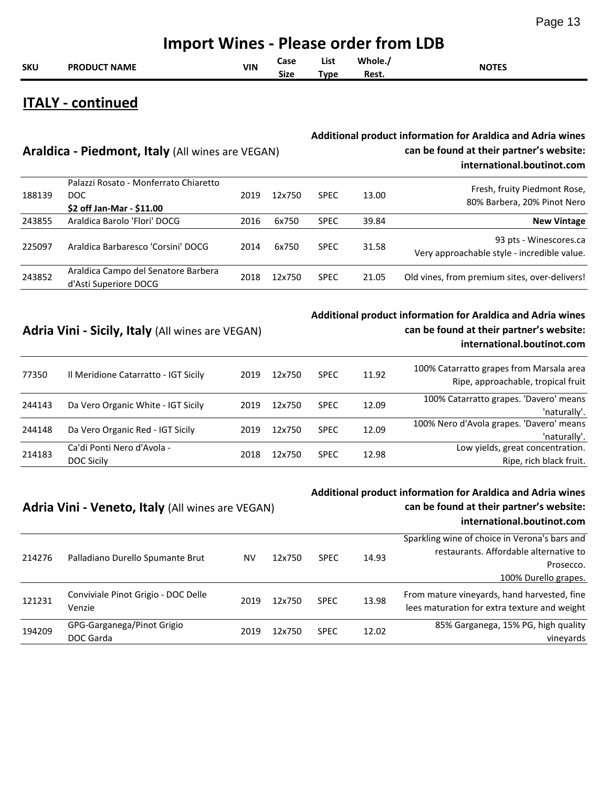|            | <b>Import Wines - Please order from LDB</b> |     |              |                    |                  |              |  |  |  |  |
|------------|---------------------------------------------|-----|--------------|--------------------|------------------|--------------|--|--|--|--|
| <b>SKU</b> | <b>PRODUCT NAME</b>                         | VIN | Case<br>Size | List<br>$\tau$ vpe | Whole./<br>Rest. | <b>NOTES</b> |  |  |  |  |

#### **ITALY - continued**

#### **Additional product information for Araldica and Adria wines can be found at their partner's website: international.boutinot.com**

| 188139 | Palazzi Rosato - Monferrato Chiaretto<br>DOC.<br>\$2 off Jan-Mar - \$11.00 | 2019 | 12x750 | <b>SPEC</b> | 13.00 | Fresh, fruity Piedmont Rose,<br>80% Barbera, 20% Pinot Nero           |
|--------|----------------------------------------------------------------------------|------|--------|-------------|-------|-----------------------------------------------------------------------|
| 243855 | Araldica Barolo 'Flori' DOCG                                               | 2016 | 6x750  | <b>SPEC</b> | 39.84 | <b>New Vintage</b>                                                    |
| 225097 | Araldica Barbaresco 'Corsini' DOCG                                         | 2014 | 6x750  | <b>SPEC</b> | 31.58 | 93 pts - Winescores.ca<br>Very approachable style - incredible value. |
| 243852 | Araldica Campo del Senatore Barbera<br>d'Asti Superiore DOCG               | 2018 | 12x750 | <b>SPEC</b> | 21.05 | Old vines, from premium sites, over-delivers!                         |

#### **Adria Vini - Sicily, Italy** (All wines are VEGAN)

**Araldica - Piedmont, Italy** (All wines are VEGAN)

#### **Additional product information for Araldica and Adria wines can be found at their partner's website: international.boutinot.com**

| 77350  | Il Meridione Catarratto - IGT Sicily            | 2019 | 12x750 | <b>SPEC</b> | 11.92 | 100% Catarratto grapes from Marsala area<br>Ripe, approachable, tropical fruit |
|--------|-------------------------------------------------|------|--------|-------------|-------|--------------------------------------------------------------------------------|
| 244143 | Da Vero Organic White - IGT Sicily              | 2019 | 12x750 | <b>SPEC</b> | 12.09 | 100% Catarratto grapes. 'Davero' means<br>'naturally'.                         |
| 244148 | Da Vero Organic Red - IGT Sicily                | 2019 | 12x750 | <b>SPEC</b> | 12.09 | 100% Nero d'Avola grapes. 'Davero' means<br>'naturally'.                       |
| 214183 | Ca'di Ponti Nero d'Avola -<br><b>DOC Sicily</b> | 2018 | 12x750 | <b>SPEC</b> | 12.98 | Low yields, great concentration.<br>Ripe, rich black fruit.                    |

#### **Adria Vini - Veneto, Italy** (All wines are VEGAN)

**Additional product information for Araldica and Adria wines can be found at their partner's website: international.boutinot.com**

| Palladiano Durello Spumante Brut              | NV   | 12x750 | <b>SPEC</b> | 14.93 | Sparkling wine of choice in Verona's bars and<br>restaurants. Affordable alternative to<br>Prosecco. |
|-----------------------------------------------|------|--------|-------------|-------|------------------------------------------------------------------------------------------------------|
|                                               |      |        |             |       | 100% Durello grapes.                                                                                 |
| Conviviale Pinot Grigio - DOC Delle<br>Venzie | 2019 | 12x750 | <b>SPEC</b> | 13.98 | From mature vineyards, hand harvested, fine<br>lees maturation for extra texture and weight          |
| GPG-Garganega/Pinot Grigio<br>DOC Garda       | 2019 | 12x750 | <b>SPEC</b> | 12.02 | 85% Garganega, 15% PG, high quality<br>vineyards                                                     |
|                                               |      |        |             |       |                                                                                                      |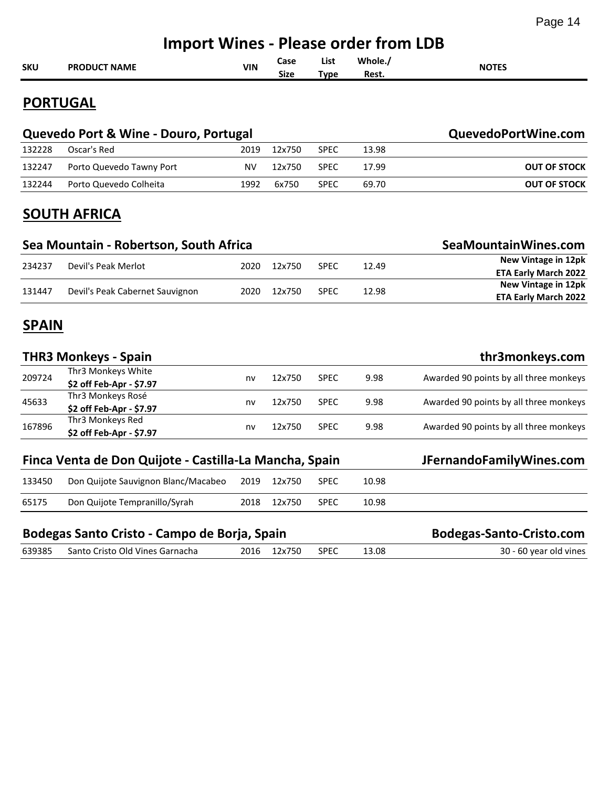|              | <b>Import Wines - Please order from LDB</b>            |            |                     |                     |                  |                                                           |  |  |  |  |
|--------------|--------------------------------------------------------|------------|---------------------|---------------------|------------------|-----------------------------------------------------------|--|--|--|--|
| <b>SKU</b>   | <b>PRODUCT NAME</b>                                    | <b>VIN</b> | Case<br><b>Size</b> | List<br><b>Type</b> | Whole./<br>Rest. | <b>NOTES</b>                                              |  |  |  |  |
|              | <b>PORTUGAL</b>                                        |            |                     |                     |                  |                                                           |  |  |  |  |
|              | Quevedo Port & Wine - Douro, Portugal                  |            |                     |                     |                  | QuevedoPortWine.com                                       |  |  |  |  |
| 132228       | Oscar's Red                                            | 2019       | 12x750              | <b>SPEC</b>         | 13.98            |                                                           |  |  |  |  |
| 132247       | Porto Quevedo Tawny Port                               | <b>NV</b>  | 12x750              | <b>SPEC</b>         | 17.99            | <b>OUT OF STOCK</b>                                       |  |  |  |  |
| 132244       | Porto Quevedo Colheita                                 | 1992       | 6x750               | <b>SPEC</b>         | 69.70            | <b>OUT OF STOCK</b>                                       |  |  |  |  |
|              | <b>SOUTH AFRICA</b>                                    |            |                     |                     |                  |                                                           |  |  |  |  |
|              | Sea Mountain - Robertson, South Africa                 |            |                     |                     |                  | SeaMountainWines.com                                      |  |  |  |  |
| 234237       | Devil's Peak Merlot                                    | 2020       | 12x750              | <b>SPEC</b>         | 12.49            | <b>New Vintage in 12pk</b><br><b>ETA Early March 2022</b> |  |  |  |  |
| 131447       | Devil's Peak Cabernet Sauvignon                        | 2020       | 12x750              | <b>SPEC</b>         | 12.98            | <b>New Vintage in 12pk</b><br><b>ETA Early March 2022</b> |  |  |  |  |
| <b>SPAIN</b> |                                                        |            |                     |                     |                  |                                                           |  |  |  |  |
|              | <b>THR3 Monkeys - Spain</b>                            |            |                     |                     |                  | thr3monkeys.com                                           |  |  |  |  |
| 209724       | Thr3 Monkeys White<br>\$2 off Feb-Apr - \$7.97         | nv         | 12x750              | <b>SPEC</b>         | 9.98             | Awarded 90 points by all three monkeys                    |  |  |  |  |
| 45633        | Thr3 Monkeys Rosé<br>\$2 off Feb-Apr - \$7.97          | nv         | 12x750              | <b>SPEC</b>         | 9.98             | Awarded 90 points by all three monkeys                    |  |  |  |  |
| 167896       | Thr3 Monkeys Red<br>\$2 off Feb-Apr - \$7.97           | nv         | 12x750              | <b>SPEC</b>         | 9.98             | Awarded 90 points by all three monkeys                    |  |  |  |  |
|              | Finca Venta de Don Quijote - Castilla-La Mancha, Spain |            |                     |                     |                  | JFernandoFamilyWines.com                                  |  |  |  |  |
| 133450       | Don Quijote Sauvignon Blanc/Macabeo                    | 2019       | 12x750              | <b>SPEC</b>         | 10.98            |                                                           |  |  |  |  |
| 65175        | Don Quijote Tempranillo/Syrah                          | 2018       | 12x750              | <b>SPEC</b>         | 10.98            |                                                           |  |  |  |  |
|              | Bodegas Santo Cristo - Campo de Borja, Spain           |            |                     |                     |                  | <b>Bodegas-Santo-Cristo.com</b>                           |  |  |  |  |
| 639385       | Santo Cristo Old Vines Garnacha                        | 2016       | 12x750              | <b>SPEC</b>         | 13.08            | 30 - 60 year old vines                                    |  |  |  |  |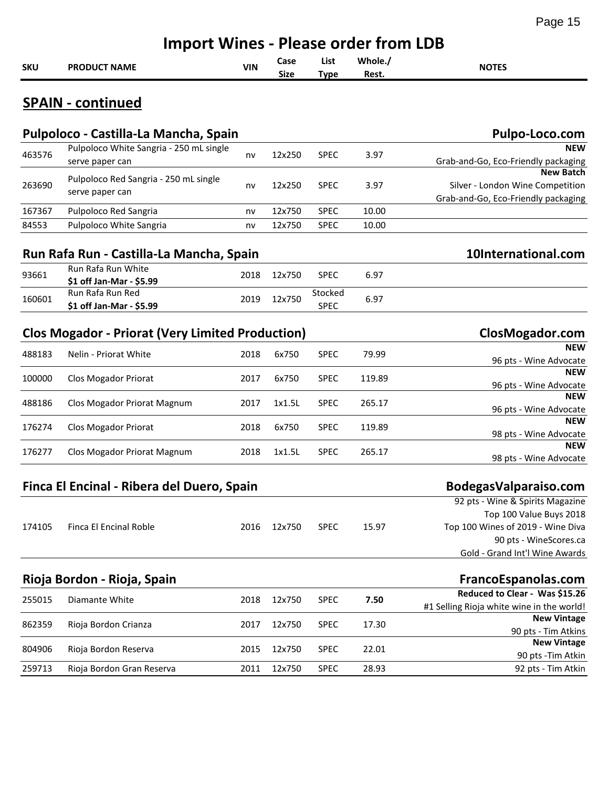|            | <b>Import Wines - Please order from LDB</b>                |            |                     |                        |                  |                                                                                             |  |  |  |  |  |
|------------|------------------------------------------------------------|------------|---------------------|------------------------|------------------|---------------------------------------------------------------------------------------------|--|--|--|--|--|
| <b>SKU</b> | <b>PRODUCT NAME</b>                                        | <b>VIN</b> | Case<br><b>Size</b> | List<br><b>Type</b>    | Whole./<br>Rest. | <b>NOTES</b>                                                                                |  |  |  |  |  |
|            | <b>SPAIN - continued</b>                                   |            |                     |                        |                  |                                                                                             |  |  |  |  |  |
|            | Pulpoloco - Castilla-La Mancha, Spain                      |            |                     |                        |                  | Pulpo-Loco.com                                                                              |  |  |  |  |  |
| 463576     | Pulpoloco White Sangria - 250 mL single<br>serve paper can | nv         | 12x250              | <b>SPEC</b>            | 3.97             | <b>NEW</b><br>Grab-and-Go, Eco-Friendly packaging                                           |  |  |  |  |  |
| 263690     | Pulpoloco Red Sangria - 250 mL single<br>serve paper can   | nv         | 12x250              | <b>SPEC</b>            | 3.97             | <b>New Batch</b><br>Silver - London Wine Competition<br>Grab-and-Go, Eco-Friendly packaging |  |  |  |  |  |
| 167367     | Pulpoloco Red Sangria                                      | nv         | 12x750              | <b>SPEC</b>            | 10.00            |                                                                                             |  |  |  |  |  |
| 84553      | Pulpoloco White Sangria                                    | nv         | 12x750              | <b>SPEC</b>            | 10.00            |                                                                                             |  |  |  |  |  |
|            | Run Rafa Run - Castilla-La Mancha, Spain                   |            |                     |                        |                  | 10International.com                                                                         |  |  |  |  |  |
| 93661      | Run Rafa Run White<br>\$1 off Jan-Mar - \$5.99             | 2018       | 12x750              | <b>SPEC</b>            | 6.97             |                                                                                             |  |  |  |  |  |
| 160601     | Run Rafa Run Red<br>\$1 off Jan-Mar - \$5.99               | 2019       | 12x750              | Stocked<br><b>SPEC</b> | 6.97             |                                                                                             |  |  |  |  |  |
|            | <b>Clos Mogador - Priorat (Very Limited Production)</b>    |            |                     |                        |                  | ClosMogador.com                                                                             |  |  |  |  |  |
| 488183     | Nelin - Priorat White                                      | 2018       | 6x750               | <b>SPEC</b>            | 79.99            | <b>NEW</b><br>96 pts - Wine Advocate                                                        |  |  |  |  |  |
| 100000     | Clos Mogador Priorat                                       | 2017       | 6x750               | <b>SPEC</b>            | 119.89           | <b>NEW</b><br>96 pts - Wine Advocate                                                        |  |  |  |  |  |
| 488186     | Clos Mogador Priorat Magnum                                | 2017       | 1x1.5L              | <b>SPEC</b>            | 265.17           | <b>NEW</b><br>96 pts - Wine Advocate                                                        |  |  |  |  |  |
| 176274     | Clos Mogador Priorat                                       | 2018       | 6x750               | <b>SPEC</b>            | 119.89           | NEW<br>98 pts - Wine Advocate                                                               |  |  |  |  |  |
| 176277     | Clos Mogador Priorat Magnum                                | 2018       | 1x1.5L              | <b>SPEC</b>            | 265.17           | NEW<br>98 pts - Wine Advocate                                                               |  |  |  |  |  |
|            |                                                            |            |                     |                        |                  |                                                                                             |  |  |  |  |  |
|            | Finca El Encinal - Ribera del Duero, Spain                 |            |                     |                        |                  | BodegasValparaiso.com                                                                       |  |  |  |  |  |
|            |                                                            |            |                     |                        |                  | 92 pts - Wine & Spirits Magazine                                                            |  |  |  |  |  |
| 174105     | Finca El Encinal Roble                                     | 2016       | 12x750              | <b>SPEC</b>            | 15.97            | Top 100 Value Buys 2018<br>Top 100 Wines of 2019 - Wine Diva                                |  |  |  |  |  |
|            |                                                            |            |                     |                        |                  | 90 pts - WineScores.ca                                                                      |  |  |  |  |  |
|            |                                                            |            |                     |                        |                  | Gold - Grand Int'l Wine Awards                                                              |  |  |  |  |  |
|            | Rioja Bordon - Rioja, Spain                                |            |                     |                        |                  | FrancoEspanolas.com                                                                         |  |  |  |  |  |
|            |                                                            |            |                     |                        |                  | Reduced to Clear - Was \$15.26                                                              |  |  |  |  |  |
| 255015     | Diamante White                                             | 2018       | 12x750              | <b>SPEC</b>            | 7.50             | #1 Selling Rioja white wine in the world!                                                   |  |  |  |  |  |
| 862359     | Rioja Bordon Crianza                                       | 2017       | 12x750              | SPEC                   | 17.30            | <b>New Vintage</b>                                                                          |  |  |  |  |  |
|            |                                                            |            |                     |                        |                  | 90 pts - Tim Atkins                                                                         |  |  |  |  |  |
| 804906     | Rioja Bordon Reserva                                       | 2015       | 12x750              | <b>SPEC</b>            | 22.01            | <b>New Vintage</b><br>90 pts - Tim Atkin                                                    |  |  |  |  |  |
| 259713     | Rioja Bordon Gran Reserva                                  | 2011       | 12x750              | <b>SPEC</b>            | 28.93            | 92 pts - Tim Atkin                                                                          |  |  |  |  |  |
|            |                                                            |            |                     |                        |                  |                                                                                             |  |  |  |  |  |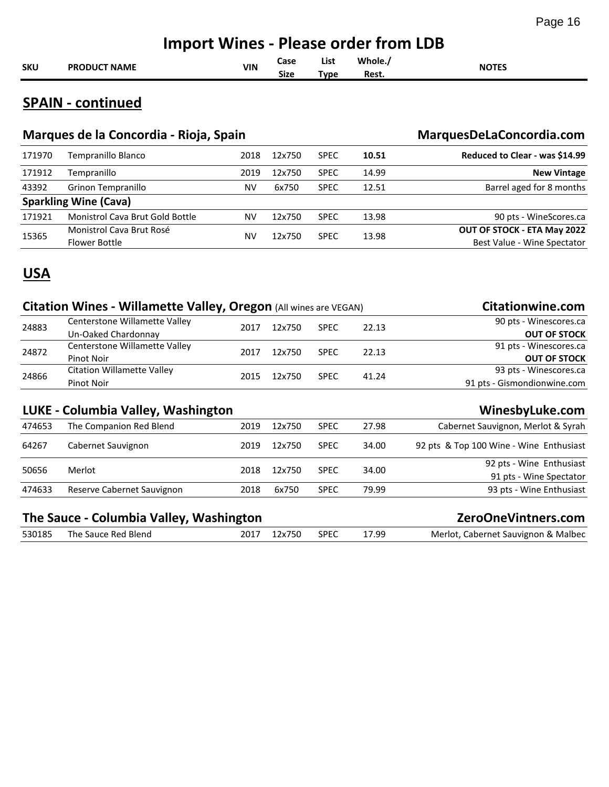| Whole./<br>List<br>Case                    | <b>Import Wines - Please order from LDB</b> |     |  |  |  |              |  |  |  |
|--------------------------------------------|---------------------------------------------|-----|--|--|--|--------------|--|--|--|
| <b>SKU</b><br><b>Size</b><br>Rest.<br>Type | <b>PRODUCT NAME</b>                         | VIN |  |  |  | <b>NOTES</b> |  |  |  |

## **SPAIN - continued**

|        | Marques de la Concordia - Rioja, Spain | MarquesDeLaConcordia.com |        |             |       |                                |  |  |  |  |
|--------|----------------------------------------|--------------------------|--------|-------------|-------|--------------------------------|--|--|--|--|
| 171970 | Tempranillo Blanco                     | 2018                     | 12x750 | <b>SPEC</b> | 10.51 | Reduced to Clear - was \$14.99 |  |  |  |  |
| 171912 | Tempranillo                            | 2019                     | 12x750 | <b>SPEC</b> | 14.99 | <b>New Vintage</b>             |  |  |  |  |
| 43392  | Grinon Tempranillo                     | NV                       | 6x750  | <b>SPEC</b> | 12.51 | Barrel aged for 8 months       |  |  |  |  |
|        | <b>Sparkling Wine (Cava)</b>           |                          |        |             |       |                                |  |  |  |  |
| 171921 | <b>Monistrol Cava Brut Gold Bottle</b> | NV                       | 12x750 | <b>SPEC</b> | 13.98 | 90 pts - WineScores.ca         |  |  |  |  |
| 15365  | Monistrol Cava Brut Rosé               |                          | 12x750 | <b>SPEC</b> | 13.98 | OUT OF STOCK - ETA May 2022    |  |  |  |  |
|        | Flower Bottle                          | NV                       |        |             |       | Best Value - Wine Spectator    |  |  |  |  |

#### **USA**

|        | Citation Wines - Willamette Valley, Oregon (All wines are VEGAN) | <b>Citationwine.com</b> |        |             |       |                                         |
|--------|------------------------------------------------------------------|-------------------------|--------|-------------|-------|-----------------------------------------|
|        | Centerstone Willamette Valley                                    | 2017                    | 12x750 |             | 22.13 | 90 pts - Winescores.ca                  |
| 24883  | Un-Oaked Chardonnay                                              |                         |        | <b>SPEC</b> |       | <b>OUT OF STOCK</b>                     |
|        | Centerstone Willamette Valley                                    | 2017                    | 12x750 | <b>SPEC</b> | 22.13 | 91 pts - Winescores.ca                  |
| 24872  | <b>Pinot Noir</b>                                                |                         |        |             |       | <b>OUT OF STOCK</b>                     |
| 24866  | <b>Citation Willamette Valley</b>                                | 2015                    | 12x750 | <b>SPEC</b> | 41.24 | 93 pts - Winescores.ca                  |
|        | <b>Pinot Noir</b>                                                |                         |        |             |       | 91 pts - Gismondionwine.com             |
|        | LUKE - Columbia Valley, Washington                               |                         |        |             |       | WinesbyLuke.com                         |
| 474653 | The Companion Red Blend                                          | 2019                    | 12x750 | <b>SPEC</b> | 27.98 | Cabernet Sauvignon, Merlot & Syrah      |
| 64267  | Cabernet Sauvignon                                               | 2019                    | 12x750 | <b>SPEC</b> | 34.00 | 92 pts & Top 100 Wine - Wine Enthusiast |
| 50656  | Merlot                                                           | 2018                    | 12x750 | <b>SPEC</b> | 34.00 | 92 pts - Wine Enthusiast                |
|        |                                                                  |                         |        |             |       | 91 pts - Wine Spectator                 |
| 474633 | Reserve Cabernet Sauvignon                                       | 2018                    | 6x750  | <b>SPEC</b> | 79.99 | 93 pts - Wine Enthusiast                |
|        | The Sauce - Columbia Valley, Washington                          |                         |        |             |       | ZeroOneVintners.com                     |

|        |                     |      | ______________________ |             |       |                                     |
|--------|---------------------|------|------------------------|-------------|-------|-------------------------------------|
| 530185 | The Sauce Red Blend | 2017 | 12x750                 | <b>SPEC</b> | 17.99 | Merlot, Cabernet Sauvignon & Malbec |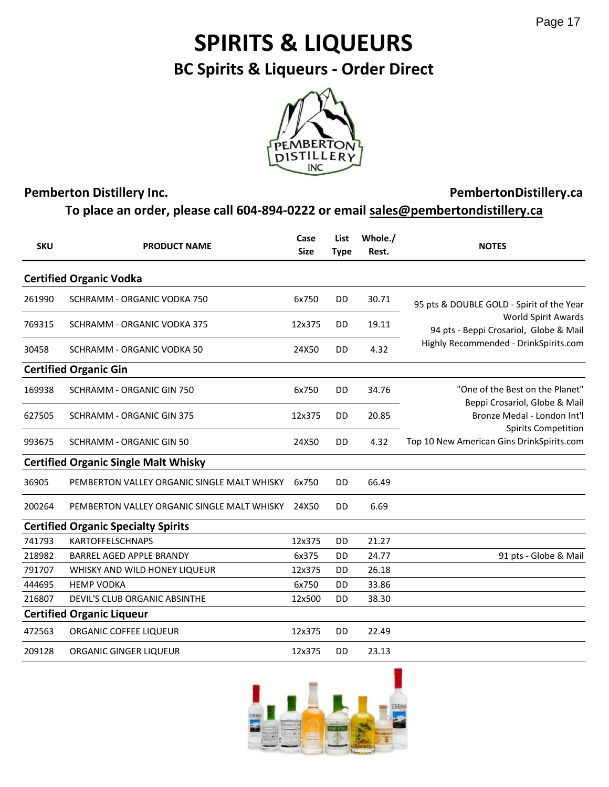# **SPIRITS & LIQUEURS**

**BC Spirits & Liqueurs - Order Direct**



#### **Pemberton Distillery Inc.**

#### **PembertonDistillery.ca**

**To place an order, please call 604-894-0222 or email sales@pembertondistillery.ca**

| <b>SKU</b> | <b>PRODUCT NAME</b>                         | Case<br><b>Size</b> | List<br><b>Type</b> | Whole./<br>Rest. | <b>NOTES</b>                                                     |
|------------|---------------------------------------------|---------------------|---------------------|------------------|------------------------------------------------------------------|
|            | <b>Certified Organic Vodka</b>              |                     |                     |                  |                                                                  |
| 261990     | SCHRAMM - ORGANIC VODKA 750                 | 6x750               | <b>DD</b>           | 30.71            | 95 pts & DOUBLE GOLD - Spirit of the Year                        |
| 769315     | SCHRAMM - ORGANIC VODKA 375                 | 12x375              | <b>DD</b>           | 19.11            | World Spirit Awards<br>94 pts - Beppi Crosariol, Globe & Mail    |
| 30458      | SCHRAMM - ORGANIC VODKA 50                  | 24X50               | <b>DD</b>           | 4.32             | Highly Recommended - DrinkSpirits.com                            |
|            | <b>Certified Organic Gin</b>                |                     |                     |                  |                                                                  |
| 169938     | SCHRAMM - ORGANIC GIN 750                   | 6x750               | DD                  | 34.76            | "One of the Best on the Planet"<br>Beppi Crosariol, Globe & Mail |
| 627505     | <b>SCHRAMM - ORGANIC GIN 375</b>            | 12x375              | DD                  | 20.85            | Bronze Medal - London Int'l<br><b>Spirits Competition</b>        |
| 993675     | <b>SCHRAMM - ORGANIC GIN 50</b>             | 24X50               | <b>DD</b>           | 4.32             | Top 10 New American Gins DrinkSpirits.com                        |
|            | <b>Certified Organic Single Malt Whisky</b> |                     |                     |                  |                                                                  |
| 36905      | PEMBERTON VALLEY ORGANIC SINGLE MALT WHISKY | 6x750               | <b>DD</b>           | 66.49            |                                                                  |
| 200264     | PEMBERTON VALLEY ORGANIC SINGLE MALT WHISKY | 24X50               | DD                  | 6.69             |                                                                  |
|            | <b>Certified Organic Specialty Spirits</b>  |                     |                     |                  |                                                                  |
| 741793     | <b>KARTOFFELSCHNAPS</b>                     | 12x375              | DD                  | 21.27            |                                                                  |
| 218982     | <b>BARREL AGED APPLE BRANDY</b>             | 6x375               | <b>DD</b>           | 24.77            | 91 pts - Globe & Mail                                            |
| 791707     | WHISKY AND WILD HONEY LIQUEUR               | 12x375              | DD                  | 26.18            |                                                                  |
| 444695     | <b>HEMP VODKA</b>                           | 6x750               | <b>DD</b>           | 33.86            |                                                                  |
| 216807     | DEVIL'S CLUB ORGANIC ABSINTHE               | 12x500              | DD                  | 38.30            |                                                                  |
|            | <b>Certified Organic Liqueur</b>            |                     |                     |                  |                                                                  |
| 472563     | ORGANIC COFFEE LIQUEUR                      | 12x375              | <b>DD</b>           | 22.49            |                                                                  |
| 209128     | ORGANIC GINGER LIQUEUR                      | 12x375              | <b>DD</b>           | 23.13            |                                                                  |

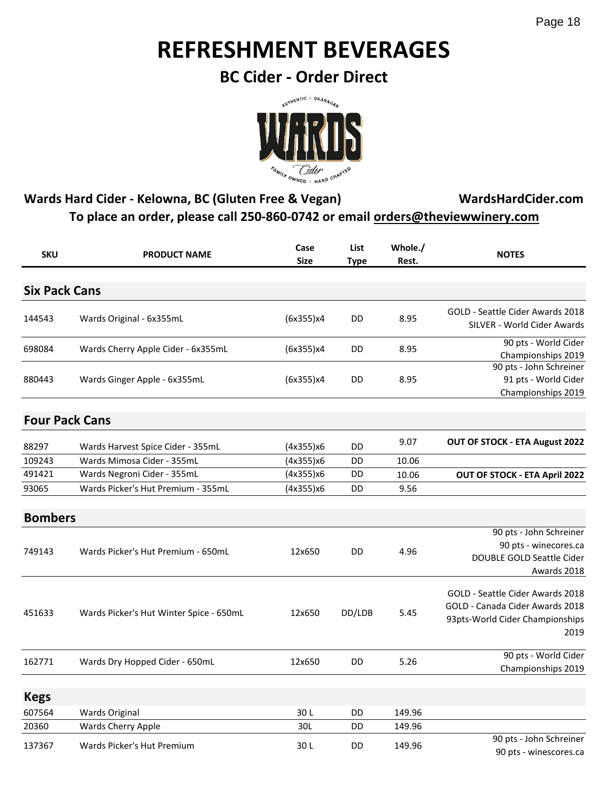# **REFRESHMENT BEVERAGES**

**BC Cider - Order Direct**



#### **Wards Hard Cider - Kelowna, BC (Gluten Free & Vegan) WardsHardCider.com To place an order, please call 250-860-0742 or email orders@theviewwinery.com**

| <b>SKU</b>            | <b>PRODUCT NAME</b>                     | Case<br><b>Size</b> | <b>List</b><br><b>Type</b> | Whole./<br>Rest. | <b>NOTES</b>                                                                                                   |
|-----------------------|-----------------------------------------|---------------------|----------------------------|------------------|----------------------------------------------------------------------------------------------------------------|
| <b>Six Pack Cans</b>  |                                         |                     |                            |                  |                                                                                                                |
| 144543                | Wards Original - 6x355mL                | (6x355)x4           | DD                         | 8.95             | GOLD - Seattle Cider Awards 2018<br>SILVER - World Cider Awards                                                |
| 698084                | Wards Cherry Apple Cider - 6x355mL      | (6x355)x4           | DD                         | 8.95             | 90 pts - World Cider<br>Championships 2019                                                                     |
| 880443                | Wards Ginger Apple - 6x355mL            | (6x355)x4           | DD                         | 8.95             | 90 pts - John Schreiner<br>91 pts - World Cider<br>Championships 2019                                          |
| <b>Four Pack Cans</b> |                                         |                     |                            |                  |                                                                                                                |
| 88297                 | Wards Harvest Spice Cider - 355mL       | (4x355)x6           | DD                         | 9.07             | OUT OF STOCK - ETA August 2022                                                                                 |
| 109243                | Wards Mimosa Cider - 355mL              | (4x355)x6           | DD                         | 10.06            |                                                                                                                |
| 491421                | Wards Negroni Cider - 355mL             | (4x355)x6           | DD                         | 10.06            | OUT OF STOCK - ETA April 2022                                                                                  |
| 93065                 | Wards Picker's Hut Premium - 355mL      | (4x355)x6           | DD                         | 9.56             |                                                                                                                |
| <b>Bombers</b>        |                                         |                     |                            |                  |                                                                                                                |
| 749143                | Wards Picker's Hut Premium - 650mL      | 12x650              | DD                         | 4.96             | 90 pts - John Schreiner<br>90 pts - winecores.ca<br>DOUBLE GOLD Seattle Cider<br>Awards 2018                   |
| 451633                | Wards Picker's Hut Winter Spice - 650mL | 12x650              | DD/LDB                     | 5.45             | GOLD - Seattle Cider Awards 2018<br>GOLD - Canada Cider Awards 2018<br>93pts-World Cider Championships<br>2019 |
| 162771                | Wards Dry Hopped Cider - 650mL          | 12x650              | DD                         | 5.26             | 90 pts - World Cider<br>Championships 2019                                                                     |
| <b>Kegs</b>           |                                         |                     |                            |                  |                                                                                                                |
| 607564                | <b>Wards Original</b>                   | 30L                 | DD                         | 149.96           |                                                                                                                |
| 20360                 | Wards Cherry Apple                      | 30L                 | DD                         | 149.96           |                                                                                                                |
| 137367                | Wards Picker's Hut Premium              | 30L                 | DD                         | 149.96           | 90 pts - John Schreiner<br>90 pts - winescores.ca                                                              |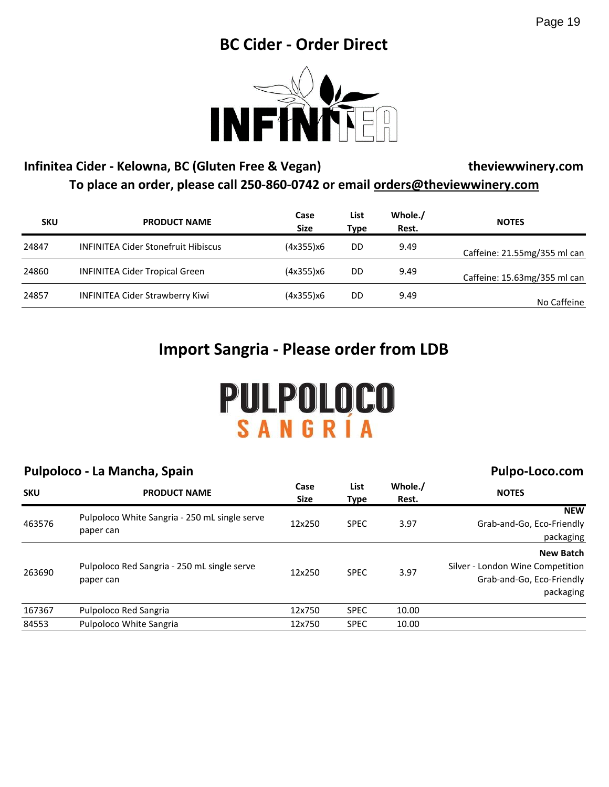## **BC Cider - Order Direct**



#### **Infinitea Cider - Kelowna, BC (Gluten Free & Vegan) theviewwinery.com To place an order, please call 250-860-0742 or email orders@theviewwinery.com**

| <b>SKU</b> | <b>PRODUCT NAME</b>                        | Case<br>Size | List<br>Type | Whole./<br>Rest. | <b>NOTES</b>                 |
|------------|--------------------------------------------|--------------|--------------|------------------|------------------------------|
| 24847      | <b>INFINITEA Cider Stonefruit Hibiscus</b> | (4x355)x6    | DD           | 9.49             | Caffeine: 21.55mg/355 ml can |
| 24860      | <b>INFINITEA Cider Tropical Green</b>      | (4x355)x6    | DD           | 9.49             | Caffeine: 15.63mg/355 ml can |
| 24857      | <b>INFINITEA Cider Strawberry Kiwi</b>     | (4x355)x6    | DD           | 9.49             | No Caffeine                  |

## **Import Sangria - Please order from LDB**

# PULPOLOCO SANGRÍ

#### **Pulpoloco - La Mancha, Spain**

#### **Pulpo-Loco.com SKU PRODUCT NAME Case Size List Type Whole./ Rest. NOTES** 463576 Pulpoloco White Sangria - 250 mL single serve paper can 12x250 SPEC 3.97 **NEW** Grab-and-Go, Eco-Friendly packaging 263690 Pulpoloco Red Sangria - 250 mL single serve paper can 12x250 SPEC 3.97 **New Batch** Silver - London Wine Competition Grab-and-Go, Eco-Friendly packaging 167367 Pulpoloco Red Sangria 12x750 SPEC 10.00 84553 Pulpoloco White Sangria 12x750 SPEC 10.00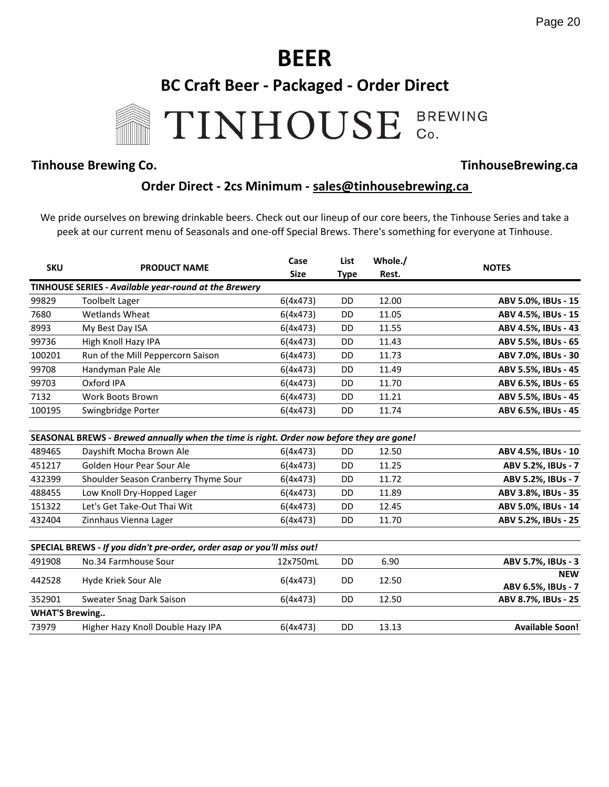

#### **Tinhouse Brewing Co. TinhouseBrewing.ca**

#### **Order Direct - 2cs Minimum - sales@tinhousebrewing.ca**

We pride ourselves on brewing drinkable beers. Check out our lineup of our core beers, the Tinhouse Series and take a peek at our current menu of Seasonals and one-off Special Brews. There's something for everyone at Tinhouse.

| <b>SKU</b>            | <b>PRODUCT NAME</b>                                                                      | Case<br><b>Size</b> | List<br><b>Type</b> | Whole./<br>Rest. | <b>NOTES</b>                     |
|-----------------------|------------------------------------------------------------------------------------------|---------------------|---------------------|------------------|----------------------------------|
|                       | TINHOUSE SERIES - Available year-round at the Brewery                                    |                     |                     |                  |                                  |
| 99829                 | <b>Toolbelt Lager</b>                                                                    | 6(4x473)            | <b>DD</b>           | 12.00            | ABV 5.0%, IBUs - 15              |
| 7680                  | Wetlands Wheat                                                                           | 6(4x473)            | <b>DD</b>           | 11.05            | ABV 4.5%, IBUs - 15              |
| 8993                  | My Best Day ISA                                                                          | 6(4x473)            | DD                  | 11.55            | ABV 4.5%, IBUs - 43              |
| 99736                 | High Knoll Hazy IPA                                                                      | 6(4x473)            | DD                  | 11.43            | ABV 5.5%, IBUs - 65              |
| 100201                | Run of the Mill Peppercorn Saison                                                        | 6(4x473)            | <b>DD</b>           | 11.73            | ABV 7.0%, IBUs - 30              |
| 99708                 | Handyman Pale Ale                                                                        | 6(4x473)            | <b>DD</b>           | 11.49            | ABV 5.5%, IBUs - 45              |
| 99703                 | Oxford IPA                                                                               | 6(4x473)            | <b>DD</b>           | 11.70            | ABV 6.5%, IBUs - 65              |
| 7132                  | Work Boots Brown                                                                         | 6(4x473)            | DD                  | 11.21            | ABV 5.5%, IBUs - 45              |
| 100195                | Swingbridge Porter                                                                       | 6(4x473)            | <b>DD</b>           | 11.74            | ABV 6.5%, IBUs - 45              |
|                       | SEASONAL BREWS - Brewed annually when the time is right. Order now before they are gone! |                     |                     |                  |                                  |
| 489465                | Dayshift Mocha Brown Ale                                                                 | 6(4x473)            | <b>DD</b>           | 12.50            | ABV 4.5%, IBUs - 10              |
| 451217                | Golden Hour Pear Sour Ale                                                                | 6(4x473)            | <b>DD</b>           | 11.25            | ABV 5.2%, IBUs - 7               |
| 432399                | Shoulder Season Cranberry Thyme Sour                                                     | 6(4x473)            | <b>DD</b>           | 11.72            | ABV 5.2%, IBUs - 7               |
| 488455                | Low Knoll Dry-Hopped Lager                                                               | 6(4x473)            | <b>DD</b>           | 11.89            | ABV 3.8%, IBUs - 35              |
| 151322                | Let's Get Take-Out Thai Wit                                                              | 6(4x473)            | <b>DD</b>           | 12.45            | ABV 5.0%, IBUs - 14              |
| 432404                | Zinnhaus Vienna Lager                                                                    | 6(4x473)            | <b>DD</b>           | 11.70            | ABV 5.2%, IBUs - 25              |
|                       | SPECIAL BREWS - If you didn't pre-order, order asap or you'll miss out!                  |                     |                     |                  |                                  |
| 491908                | No.34 Farmhouse Sour                                                                     | 12x750mL            | <b>DD</b>           | 6.90             | ABV 5.7%, IBUs - 3               |
| 442528                | Hyde Kriek Sour Ale                                                                      | 6(4x473)            | DD                  | 12.50            | <b>NEW</b><br>ABV 6.5%, IBUs - 7 |
| 352901                | Sweater Snag Dark Saison                                                                 | 6(4x473)            | DD                  | 12.50            | ABV 8.7%, IBUs - 25              |
| <b>WHAT'S Brewing</b> |                                                                                          |                     |                     |                  |                                  |
| 73979                 | Higher Hazy Knoll Double Hazy IPA                                                        | 6(4x473)            | <b>DD</b>           | 13.13            | <b>Available Soon!</b>           |
|                       |                                                                                          |                     |                     |                  |                                  |